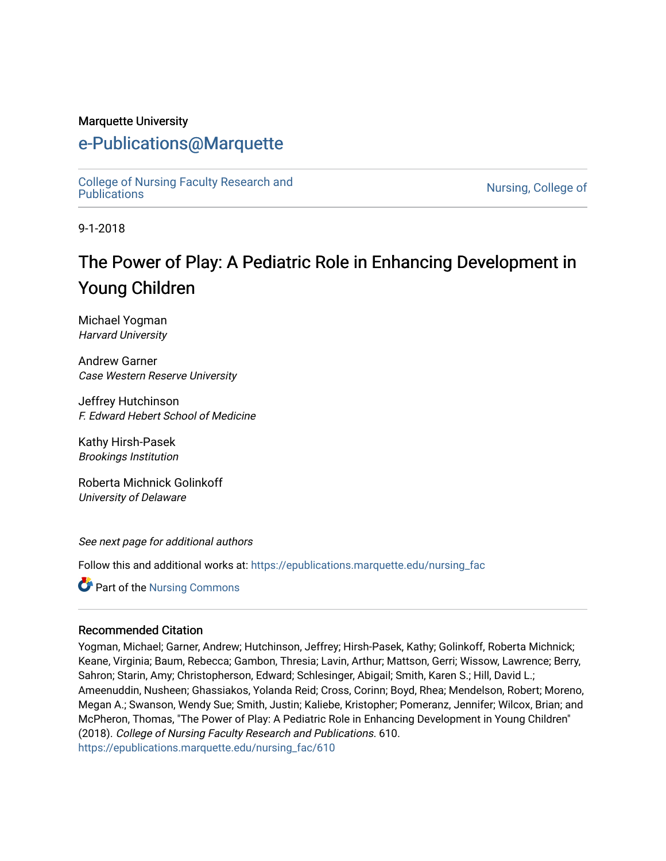#### Marquette University

# [e-Publications@Marquette](https://epublications.marquette.edu/)

[College of Nursing Faculty Research and](https://epublications.marquette.edu/nursing_fac)<br>Publications

Nursing, College of

9-1-2018

# The Power of Play: A Pediatric Role in Enhancing Development in Young Children

Michael Yogman Harvard University

Andrew Garner Case Western Reserve University

Jeffrey Hutchinson F. Edward Hebert School of Medicine

Kathy Hirsh-Pasek Brookings Institution

Roberta Michnick Golinkoff University of Delaware

See next page for additional authors

Follow this and additional works at: [https://epublications.marquette.edu/nursing\\_fac](https://epublications.marquette.edu/nursing_fac?utm_source=epublications.marquette.edu%2Fnursing_fac%2F610&utm_medium=PDF&utm_campaign=PDFCoverPages)

Part of the [Nursing Commons](http://network.bepress.com/hgg/discipline/718?utm_source=epublications.marquette.edu%2Fnursing_fac%2F610&utm_medium=PDF&utm_campaign=PDFCoverPages) 

#### Recommended Citation

Yogman, Michael; Garner, Andrew; Hutchinson, Jeffrey; Hirsh-Pasek, Kathy; Golinkoff, Roberta Michnick; Keane, Virginia; Baum, Rebecca; Gambon, Thresia; Lavin, Arthur; Mattson, Gerri; Wissow, Lawrence; Berry, Sahron; Starin, Amy; Christopherson, Edward; Schlesinger, Abigail; Smith, Karen S.; Hill, David L.; Ameenuddin, Nusheen; Ghassiakos, Yolanda Reid; Cross, Corinn; Boyd, Rhea; Mendelson, Robert; Moreno, Megan A.; Swanson, Wendy Sue; Smith, Justin; Kaliebe, Kristopher; Pomeranz, Jennifer; Wilcox, Brian; and McPheron, Thomas, "The Power of Play: A Pediatric Role in Enhancing Development in Young Children" (2018). College of Nursing Faculty Research and Publications. 610. [https://epublications.marquette.edu/nursing\\_fac/610](https://epublications.marquette.edu/nursing_fac/610?utm_source=epublications.marquette.edu%2Fnursing_fac%2F610&utm_medium=PDF&utm_campaign=PDFCoverPages)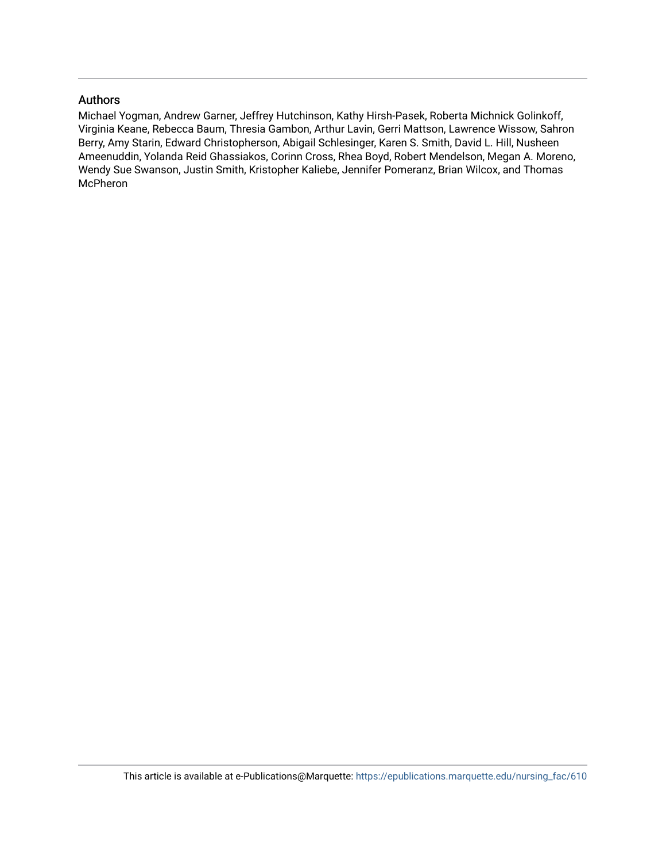#### Authors

Michael Yogman, Andrew Garner, Jeffrey Hutchinson, Kathy Hirsh-Pasek, Roberta Michnick Golinkoff, Virginia Keane, Rebecca Baum, Thresia Gambon, Arthur Lavin, Gerri Mattson, Lawrence Wissow, Sahron Berry, Amy Starin, Edward Christopherson, Abigail Schlesinger, Karen S. Smith, David L. Hill, Nusheen Ameenuddin, Yolanda Reid Ghassiakos, Corinn Cross, Rhea Boyd, Robert Mendelson, Megan A. Moreno, Wendy Sue Swanson, Justin Smith, Kristopher Kaliebe, Jennifer Pomeranz, Brian Wilcox, and Thomas McPheron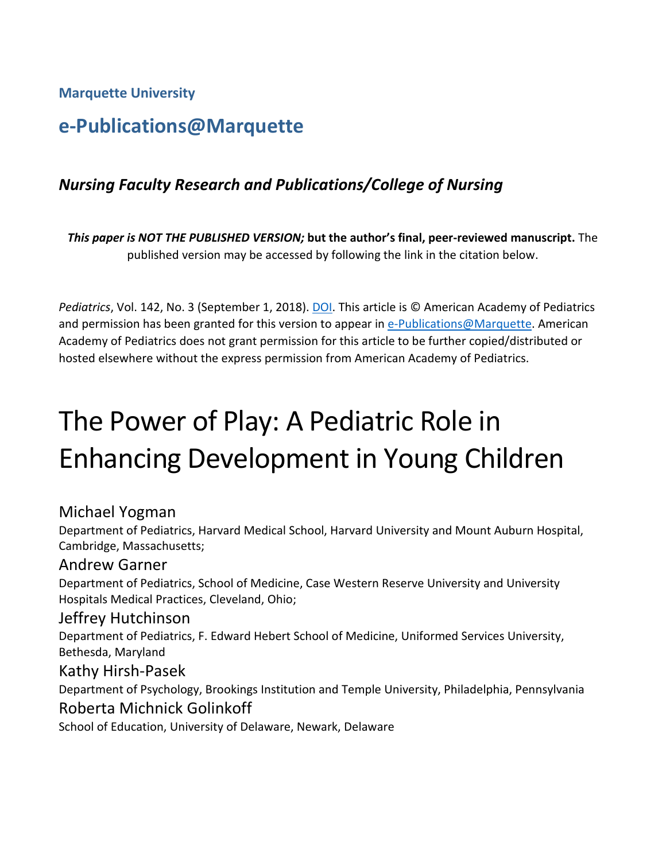**Marquette University**

# **e-Publications@Marquette**

# *Nursing Faculty Research and Publications/College of Nursing*

*This paper is NOT THE PUBLISHED VERSION;* **but the author's final, peer-reviewed manuscript.** The published version may be accessed by following the link in the citation below.

*Pediatrics*, Vol. 142, No. 3 (September 1, 2018). DOI. This article is © American Academy of Pediatrics and permission has been granted for this version to appear in [e-Publications@Marquette.](http://epublications.marquette.edu/) American Academy of Pediatrics does not grant permission for this article to be further copied/distributed or hosted elsewhere without the express permission from American Academy of Pediatrics.

# The Power of Play: A Pediatric Role in Enhancing Development in Young Children

#### Michael Yogman

Department of Pediatrics, Harvard Medical School, Harvard University and Mount Auburn Hospital, Cambridge, Massachusetts;

#### Andrew Garner

Department of Pediatrics, School of Medicine, Case Western Reserve University and University Hospitals Medical Practices, Cleveland, Ohio;

#### Jeffrey Hutchinson

Department of Pediatrics, F. Edward Hebert School of Medicine, Uniformed Services University, Bethesda, Maryland

#### Kathy Hirsh-Pasek

Department of Psychology, Brookings Institution and Temple University, Philadelphia, Pennsylvania Roberta Michnick Golinkoff

School of Education, University of Delaware, Newark, Delaware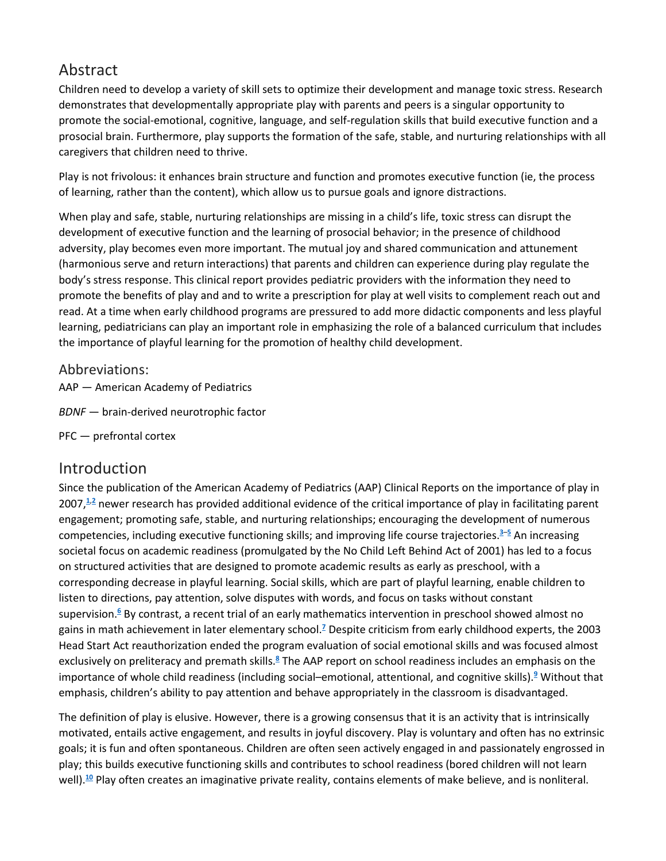# Abstract

Children need to develop a variety of skill sets to optimize their development and manage toxic stress. Research demonstrates that developmentally appropriate play with parents and peers is a singular opportunity to promote the social-emotional, cognitive, language, and self-regulation skills that build executive function and a prosocial brain. Furthermore, play supports the formation of the safe, stable, and nurturing relationships with all caregivers that children need to thrive.

Play is not frivolous: it enhances brain structure and function and promotes executive function (ie, the process of learning, rather than the content), which allow us to pursue goals and ignore distractions.

When play and safe, stable, nurturing relationships are missing in a child's life, toxic stress can disrupt the development of executive function and the learning of prosocial behavior; in the presence of childhood adversity, play becomes even more important. The mutual joy and shared communication and attunement (harmonious serve and return interactions) that parents and children can experience during play regulate the body's stress response. This clinical report provides pediatric providers with the information they need to promote the benefits of play and and to write a prescription for play at well visits to complement reach out and read. At a time when early childhood programs are pressured to add more didactic components and less playful learning, pediatricians can play an important role in emphasizing the role of a balanced curriculum that includes the importance of playful learning for the promotion of healthy child development.

#### Abbreviations:

AAP — American Academy of Pediatrics

*BDNF* — brain-derived neurotrophic factor

PFC — prefrontal cortex

#### Introduction

Since the publication of the American Academy of Pediatrics (AAP) Clinical Reports on the importance of play in  $2007$  $2007$ , $\frac{1}{2}$  $\frac{1}{2}$  $\frac{1}{2}$  newer research has provided additional evidence of the critical importance of play in facilitating parent engagement; promoting safe, stable, and nurturing relationships; encouraging the development of numerous competencies, including executive functioning skills; and improving life course trajectories[.](https://pediatrics.aappublications.org/content/142/3/e20182058#ref-3)**<sup>3</sup>**–**[5](https://pediatrics.aappublications.org/content/142/3/e20182058#ref-5)** An increasing societal focus on academic readiness (promulgated by the No Child Left Behind Act of 2001) has led to a focus on structured activities that are designed to promote academic results as early as preschool, with a corresponding decrease in playful learning. Social skills, which are part of playful learning, enable children to listen to directions, pay attention, solve disputes with words, and focus on tasks without constant supervision.**[6](https://pediatrics.aappublications.org/content/142/3/e20182058#ref-6)** By contrast, a recent trial of an early mathematics intervention in preschool showed almost no gains in math achievement in later elementary school.**[7](https://pediatrics.aappublications.org/content/142/3/e20182058#ref-7)** Despite criticism from early childhood experts, the 2003 Head Start Act reauthorization ended the program evaluation of social emotional skills and was focused almost exclusively on preliteracy and premath skills[.](https://pediatrics.aappublications.org/content/142/3/e20182058#ref-8)**<sup>8</sup>** The AAP report on school readiness includes an emphasis on the importance of whole child readiness (including social–emotional, attentional, and cognitive skills).**[9](https://pediatrics.aappublications.org/content/142/3/e20182058#ref-9)** Without that emphasis, children's ability to pay attention and behave appropriately in the classroom is disadvantaged.

The definition of play is elusive. However, there is a growing consensus that it is an activity that is intrinsically motivated, entails active engagement, and results in joyful discovery. Play is voluntary and often has no extrinsic goals; it is fun and often spontaneous. Children are often seen actively engaged in and passionately engrossed in play; this builds executive functioning skills and contributes to school readiness (bored children will not learn well).**[10](https://pediatrics.aappublications.org/content/142/3/e20182058#ref-10)** Play often creates an imaginative private reality, contains elements of make believe, and is nonliteral.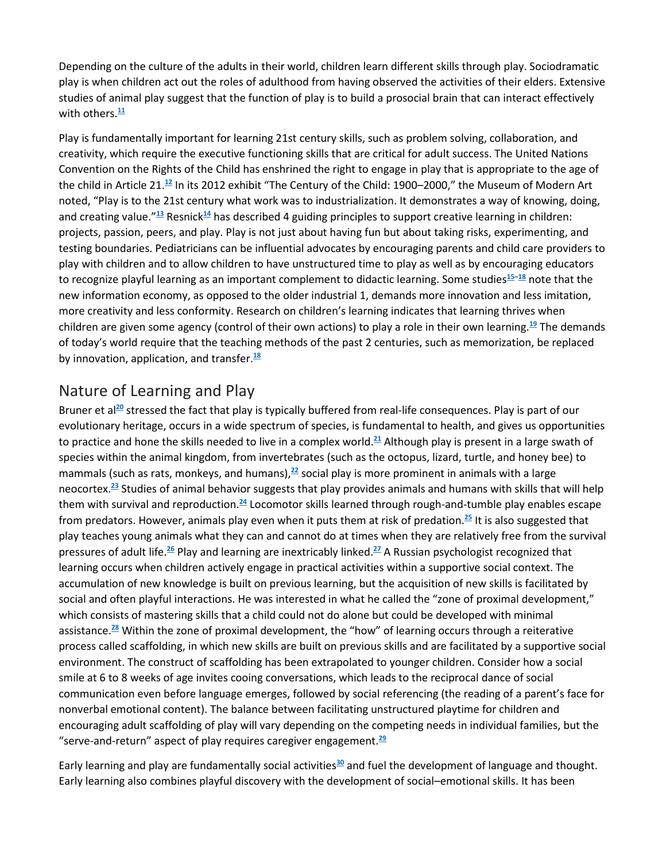Depending on the culture of the adults in their world, children learn different skills through play. Sociodramatic play is when children act out the roles of adulthood from having observed the activities of their elders. Extensive studies of animal play suggest that the function of play is to build a prosocial brain that can interact effectively with others.<sup>[11](https://pediatrics.aappublications.org/content/142/3/e20182058#ref-11)</sup>

Play is fundamentally important for learning 21st century skills, such as problem solving, collaboration, and creativity, which require the executive functioning skills that are critical for adult success. The United Nations Convention on the Rights of the Child has enshrined the right to engage in play that is appropriate to the age of the child in Article 21.**[12](https://pediatrics.aappublications.org/content/142/3/e20182058#ref-12)** In its 2012 exhibit "The Century of the Child: 1900–2000," the Museum of Modern Art noted, "Play is to the 21st century what work was to industrialization. It demonstrates a way of knowing, doing, and creating value."**[13](https://pediatrics.aappublications.org/content/142/3/e20182058#ref-13)** Resnick**[14](https://pediatrics.aappublications.org/content/142/3/e20182058#ref-14)** has described 4 guiding principles to support creative learning in children: projects, passion, peers, and play. Play is not just about having fun but about taking risks, experimenting, and testing boundaries. Pediatricians can be influential advocates by encouraging parents and child care providers to play with children and to allow children to have unstructured time to play as well as by encouraging educators to recognize playful learning as an important complement to didactic learning. Some studies**[15](https://pediatrics.aappublications.org/content/142/3/e20182058#ref-15)**–**[18](https://pediatrics.aappublications.org/content/142/3/e20182058#ref-18)** note that the new information economy, as opposed to the older industrial 1, demands more innovation and less imitation, more creativity and less conformity. Research on children's learning indicates that learning thrives when children are given some agency (control of their own actions) to play a role in their own learning.**[19](https://pediatrics.aappublications.org/content/142/3/e20182058#ref-19)** The demands of today's world require that the teaching methods of the past 2 centuries, such as memorization, be replaced by innovation, application, and transfer.**[18](https://pediatrics.aappublications.org/content/142/3/e20182058#ref-18)**

#### Nature of Learning and Play

Bruner et al**[20](https://pediatrics.aappublications.org/content/142/3/e20182058#ref-20)** stressed the fact that play is typically buffered from real-life consequences. Play is part of our evolutionary heritage, occurs in a wide spectrum of species, is fundamental to health, and gives us opportunities to practice and hone the skills needed to live in a complex world.**[21](https://pediatrics.aappublications.org/content/142/3/e20182058#ref-21)** Although play is present in a large swath of species within the animal kingdom, from invertebrates (such as the octopus, lizard, turtle, and honey bee) to mammals (such as rats, monkeys, and humans),**[22](https://pediatrics.aappublications.org/content/142/3/e20182058#ref-22)** social play is more prominent in animals with a large neocortex.**[23](https://pediatrics.aappublications.org/content/142/3/e20182058#ref-23)** Studies of animal behavior suggests that play provides animals and humans with skills that will help them with survival and reproduction.**[24](https://pediatrics.aappublications.org/content/142/3/e20182058#ref-24)** Locomotor skills learned through rough-and-tumble play enables escape from predators. However, animals play even when it puts them at risk of predation.**[25](https://pediatrics.aappublications.org/content/142/3/e20182058#ref-25)** It is also suggested that play teaches young animals what they can and cannot do at times when they are relatively free from the survival pressures of adult life.**[26](https://pediatrics.aappublications.org/content/142/3/e20182058#ref-26)** Play and learning are inextricably linked.**[27](https://pediatrics.aappublications.org/content/142/3/e20182058#ref-27)** A Russian psychologist recognized that learning occurs when children actively engage in practical activities within a supportive social context. The accumulation of new knowledge is built on previous learning, but the acquisition of new skills is facilitated by social and often playful interactions. He was interested in what he called the "zone of proximal development," which consists of mastering skills that a child could not do alone but could be developed with minimal assistance.**[28](https://pediatrics.aappublications.org/content/142/3/e20182058#ref-28)** Within the zone of proximal development, the "how" of learning occurs through a reiterative process called scaffolding, in which new skills are built on previous skills and are facilitated by a supportive social environment. The construct of scaffolding has been extrapolated to younger children. Consider how a social smile at 6 to 8 weeks of age invites cooing conversations, which leads to the reciprocal dance of social communication even before language emerges, followed by social referencing (the reading of a parent's face for nonverbal emotional content). The balance between facilitating unstructured playtime for children and encouraging adult scaffolding of play will vary depending on the competing needs in individual families, but the "serve-and-return" aspect of play requires caregiver engagement.**[29](https://pediatrics.aappublications.org/content/142/3/e20182058#ref-29)**

Early learning and play are fundamentally social activities**[30](https://pediatrics.aappublications.org/content/142/3/e20182058#ref-30)** and fuel the development of language and thought. Early learning also combines playful discovery with the development of social–emotional skills. It has been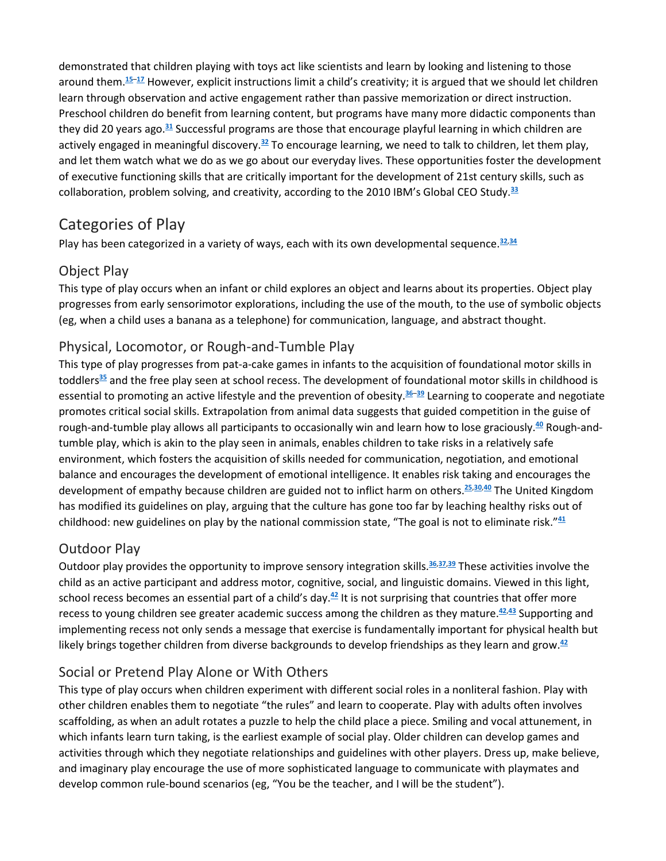demonstrated that children playing with toys act like scientists and learn by looking and listening to those around them.**[15](https://pediatrics.aappublications.org/content/142/3/e20182058#ref-15)**–**[17](https://pediatrics.aappublications.org/content/142/3/e20182058#ref-17)** However, explicit instructions limit a child's creativity; it is argued that we should let children learn through observation and active engagement rather than passive memorization or direct instruction. Preschool children do benefit from learning content, but programs have many more didactic components than they did 20 years ago.**[31](https://pediatrics.aappublications.org/content/142/3/e20182058#ref-31)** Successful programs are those that encourage playful learning in which children are actively engaged in meaningful discovery.**[32](https://pediatrics.aappublications.org/content/142/3/e20182058#ref-32)** To encourage learning, we need to talk to children, let them play, and let them watch what we do as we go about our everyday lives. These opportunities foster the development of executive functioning skills that are critically important for the development of 21st century skills, such as collaboration, problem solving, and creativity, according to the 2010 IBM's Global CEO Study.**[33](https://pediatrics.aappublications.org/content/142/3/e20182058#ref-33)**

# Categories of Play

Play has been categorized in a variety of ways, each with its own developmental sequence.**[32](https://pediatrics.aappublications.org/content/142/3/e20182058#ref-32)**,**[34](https://pediatrics.aappublications.org/content/142/3/e20182058#ref-34)**

#### Object Play

This type of play occurs when an infant or child explores an object and learns about its properties. Object play progresses from early sensorimotor explorations, including the use of the mouth, to the use of symbolic objects (eg, when a child uses a banana as a telephone) for communication, language, and abstract thought.

#### Physical, Locomotor, or Rough-and-Tumble Play

This type of play progresses from pat-a-cake games in infants to the acquisition of foundational motor skills in toddlers**[35](https://pediatrics.aappublications.org/content/142/3/e20182058#ref-35)** and the free play seen at school recess. The development of foundational motor skills in childhood is essential to promoting an active lifestyle and the prevention of obesity.**[36](https://pediatrics.aappublications.org/content/142/3/e20182058#ref-36)**–**[39](https://pediatrics.aappublications.org/content/142/3/e20182058#ref-39)** Learning to cooperate and negotiate promotes critical social skills. Extrapolation from animal data suggests that guided competition in the guise of rough-and-tumble play allows all participants to occasionally win and learn how to lose graciously.**[40](https://pediatrics.aappublications.org/content/142/3/e20182058#ref-40)** Rough-andtumble play, which is akin to the play seen in animals, enables children to take risks in a relatively safe environment, which fosters the acquisition of skills needed for communication, negotiation, and emotional balance and encourages the development of emotional intelligence. It enables risk taking and encourages the development of empathy because children are guided not to inflict harm on others.**[25](https://pediatrics.aappublications.org/content/142/3/e20182058#ref-25)**,**[30](https://pediatrics.aappublications.org/content/142/3/e20182058#ref-30)**,**[40](https://pediatrics.aappublications.org/content/142/3/e20182058#ref-40)** The United Kingdom has modified its guidelines on play, arguing that the culture has gone too far by leaching healthy risks out of childhood: new guidelines on play by the national commission state, "The goal is not to eliminate risk."**[41](https://pediatrics.aappublications.org/content/142/3/e20182058#ref-41)**

#### Outdoor Play

Outdoor play provides the opportunity to improve sensory integration skills.**[36](https://pediatrics.aappublications.org/content/142/3/e20182058#ref-36)**,**[37](https://pediatrics.aappublications.org/content/142/3/e20182058#ref-37)**,**[39](https://pediatrics.aappublications.org/content/142/3/e20182058#ref-39)** These activities involve the child as an active participant and address motor, cognitive, social, and linguistic domains. Viewed in this light, school recess becomes an essential part of a child's day.**[42](https://pediatrics.aappublications.org/content/142/3/e20182058#ref-42)** It is not surprising that countries that offer more recess to young children see greater academic success among the children as they mature.**[42](https://pediatrics.aappublications.org/content/142/3/e20182058#ref-42)**,**[43](https://pediatrics.aappublications.org/content/142/3/e20182058#ref-43)** Supporting and implementing recess not only sends a message that exercise is fundamentally important for physical health but likely brings together children from diverse backgrounds to develop friendships as they learn and grow.**[42](https://pediatrics.aappublications.org/content/142/3/e20182058#ref-42)**

#### Social or Pretend Play Alone or With Others

This type of play occurs when children experiment with different social roles in a nonliteral fashion. Play with other children enables them to negotiate "the rules" and learn to cooperate. Play with adults often involves scaffolding, as when an adult rotates a puzzle to help the child place a piece. Smiling and vocal attunement, in which infants learn turn taking, is the earliest example of social play. Older children can develop games and activities through which they negotiate relationships and guidelines with other players. Dress up, make believe, and imaginary play encourage the use of more sophisticated language to communicate with playmates and develop common rule-bound scenarios (eg, "You be the teacher, and I will be the student").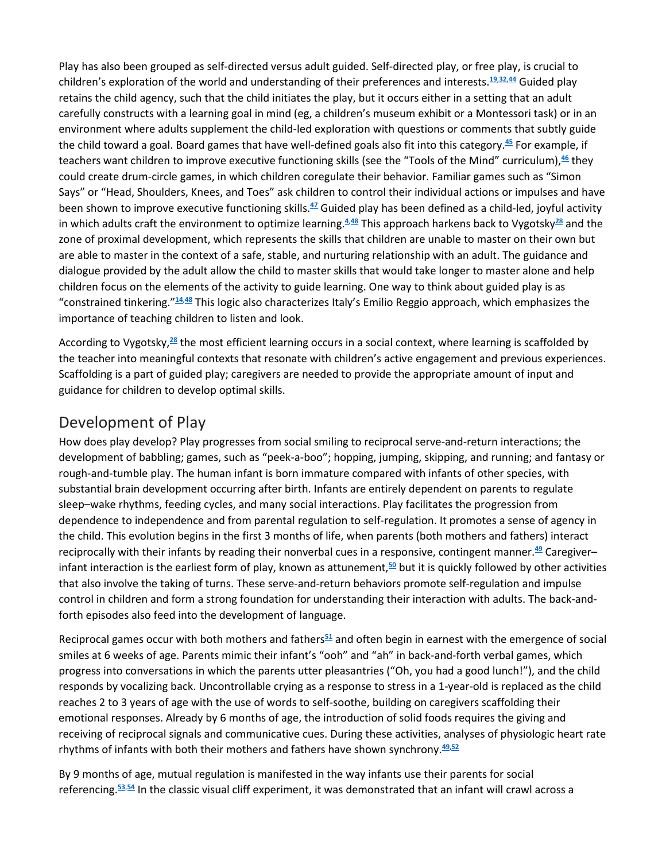Play has also been grouped as self-directed versus adult guided. Self-directed play, or free play, is crucial to children's exploration of the world and understanding of their preferences and interests.**[19](https://pediatrics.aappublications.org/content/142/3/e20182058#ref-19)**,**[32](https://pediatrics.aappublications.org/content/142/3/e20182058#ref-32)**,**[44](https://pediatrics.aappublications.org/content/142/3/e20182058#ref-44)** Guided play retains the child agency, such that the child initiates the play, but it occurs either in a setting that an adult carefully constructs with a learning goal in mind (eg, a children's museum exhibit or a Montessori task) or in an environment where adults supplement the child-led exploration with questions or comments that subtly guide the child toward a goal. Board games that have well-defined goals also fit into this category.**[45](https://pediatrics.aappublications.org/content/142/3/e20182058#ref-45)** For example, if teachers want children to improve executive functioning skills (see the "Tools of the Mind" curriculum),**[46](https://pediatrics.aappublications.org/content/142/3/e20182058#ref-46)** they could create drum-circle games, in which children coregulate their behavior. Familiar games such as "Simon Says" or "Head, Shoulders, Knees, and Toes" ask children to control their individual actions or impulses and have been shown to improve executive functioning skills.**[47](https://pediatrics.aappublications.org/content/142/3/e20182058#ref-47)** Guided play has been defined as a child-led, joyful activity in which adults craft the environment to optimize learning[.](https://pediatrics.aappublications.org/content/142/3/e20182058#ref-4)**<sup>4</sup>**,**[48](https://pediatrics.aappublications.org/content/142/3/e20182058#ref-48)** This approach harkens back to Vygotsky**[28](https://pediatrics.aappublications.org/content/142/3/e20182058#ref-28)** and the zone of proximal development, which represents the skills that children are unable to master on their own but are able to master in the context of a safe, stable, and nurturing relationship with an adult. The guidance and dialogue provided by the adult allow the child to master skills that would take longer to master alone and help children focus on the elements of the activity to guide learning. One way to think about guided play is as "constrained tinkering."**[14](https://pediatrics.aappublications.org/content/142/3/e20182058#ref-14)**,**[48](https://pediatrics.aappublications.org/content/142/3/e20182058#ref-48)** This logic also characterizes Italy's Emilio Reggio approach, which emphasizes the importance of teaching children to listen and look.

According to Vygotsky,**[28](https://pediatrics.aappublications.org/content/142/3/e20182058#ref-28)** the most efficient learning occurs in a social context, where learning is scaffolded by the teacher into meaningful contexts that resonate with children's active engagement and previous experiences. Scaffolding is a part of guided play; caregivers are needed to provide the appropriate amount of input and guidance for children to develop optimal skills.

### Development of Play

How does play develop? Play progresses from social smiling to reciprocal serve-and-return interactions; the development of babbling; games, such as "peek-a-boo"; hopping, jumping, skipping, and running; and fantasy or rough-and-tumble play. The human infant is born immature compared with infants of other species, with substantial brain development occurring after birth. Infants are entirely dependent on parents to regulate sleep–wake rhythms, feeding cycles, and many social interactions. Play facilitates the progression from dependence to independence and from parental regulation to self-regulation. It promotes a sense of agency in the child. This evolution begins in the first 3 months of life, when parents (both mothers and fathers) interact reciprocally with their infants by reading their nonverbal cues in a responsive, contingent manner.**[49](https://pediatrics.aappublications.org/content/142/3/e20182058#ref-49)** Caregiver– infant interaction is the earliest form of play, known as attunement,**[50](https://pediatrics.aappublications.org/content/142/3/e20182058#ref-50)** but it is quickly followed by other activities that also involve the taking of turns. These serve-and-return behaviors promote self-regulation and impulse control in children and form a strong foundation for understanding their interaction with adults. The back-andforth episodes also feed into the development of language.

Reciprocal games occur with both mothers and fathers**[51](https://pediatrics.aappublications.org/content/142/3/e20182058#ref-51)** and often begin in earnest with the emergence of social smiles at 6 weeks of age. Parents mimic their infant's "ooh" and "ah" in back-and-forth verbal games, which progress into conversations in which the parents utter pleasantries ("Oh, you had a good lunch!"), and the child responds by vocalizing back. Uncontrollable crying as a response to stress in a 1-year-old is replaced as the child reaches 2 to 3 years of age with the use of words to self-soothe, building on caregivers scaffolding their emotional responses. Already by 6 months of age, the introduction of solid foods requires the giving and receiving of reciprocal signals and communicative cues. During these activities, analyses of physiologic heart rate rhythms of infants with both their mothers and fathers have shown synchrony.**[49](https://pediatrics.aappublications.org/content/142/3/e20182058#ref-49)**,**[52](https://pediatrics.aappublications.org/content/142/3/e20182058#ref-52)**

By 9 months of age, mutual regulation is manifested in the way infants use their parents for social referencing.**[53](https://pediatrics.aappublications.org/content/142/3/e20182058#ref-53)**,**[54](https://pediatrics.aappublications.org/content/142/3/e20182058#ref-54)** In the classic visual cliff experiment, it was demonstrated that an infant will crawl across a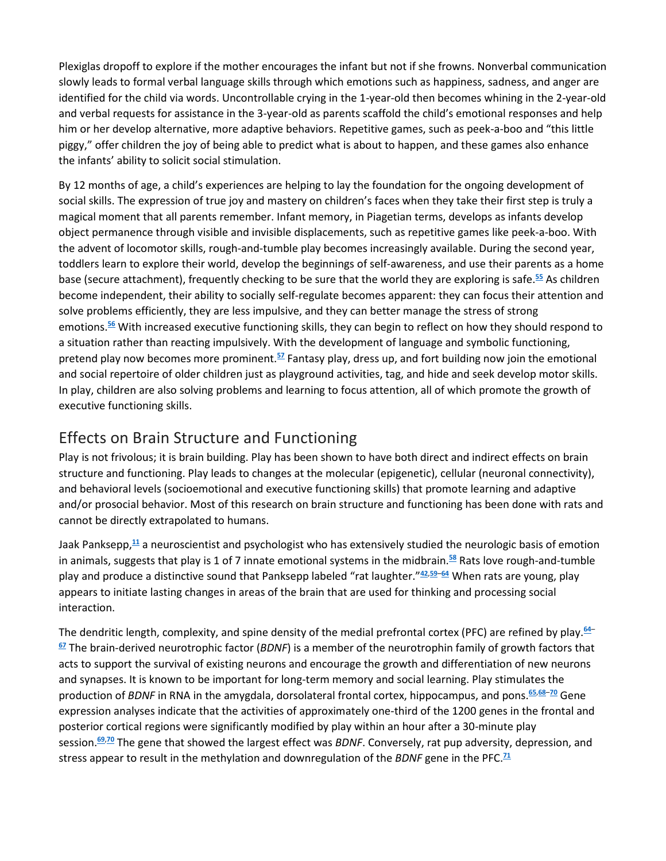Plexiglas dropoff to explore if the mother encourages the infant but not if she frowns. Nonverbal communication slowly leads to formal verbal language skills through which emotions such as happiness, sadness, and anger are identified for the child via words. Uncontrollable crying in the 1-year-old then becomes whining in the 2-year-old and verbal requests for assistance in the 3-year-old as parents scaffold the child's emotional responses and help him or her develop alternative, more adaptive behaviors. Repetitive games, such as peek-a-boo and "this little piggy," offer children the joy of being able to predict what is about to happen, and these games also enhance the infants' ability to solicit social stimulation.

By 12 months of age, a child's experiences are helping to lay the foundation for the ongoing development of social skills. The expression of true joy and mastery on children's faces when they take their first step is truly a magical moment that all parents remember. Infant memory, in Piagetian terms, develops as infants develop object permanence through visible and invisible displacements, such as repetitive games like peek-a-boo. With the advent of locomotor skills, rough-and-tumble play becomes increasingly available. During the second year, toddlers learn to explore their world, develop the beginnings of self-awareness, and use their parents as a home base (secure attachment), frequently checking to be sure that the world they are exploring is safe.**[55](https://pediatrics.aappublications.org/content/142/3/e20182058#ref-55)** As children become independent, their ability to socially self-regulate becomes apparent: they can focus their attention and solve problems efficiently, they are less impulsive, and they can better manage the stress of strong emotions.**[56](https://pediatrics.aappublications.org/content/142/3/e20182058#ref-56)** With increased executive functioning skills, they can begin to reflect on how they should respond to a situation rather than reacting impulsively. With the development of language and symbolic functioning, pretend play now becomes more prominent.**[57](https://pediatrics.aappublications.org/content/142/3/e20182058#ref-57)** Fantasy play, dress up, and fort building now join the emotional and social repertoire of older children just as playground activities, tag, and hide and seek develop motor skills. In play, children are also solving problems and learning to focus attention, all of which promote the growth of executive functioning skills.

# Effects on Brain Structure and Functioning

Play is not frivolous; it is brain building. Play has been shown to have both direct and indirect effects on brain structure and functioning. Play leads to changes at the molecular (epigenetic), cellular (neuronal connectivity), and behavioral levels (socioemotional and executive functioning skills) that promote learning and adaptive and/or prosocial behavior. Most of this research on brain structure and functioning has been done with rats and cannot be directly extrapolated to humans.

Jaak Panksepp,**[11](https://pediatrics.aappublications.org/content/142/3/e20182058#ref-11)** a neuroscientist and psychologist who has extensively studied the neurologic basis of emotion in animals, suggests that play is 1 of 7 innate emotional systems in the midbrain.**[58](https://pediatrics.aappublications.org/content/142/3/e20182058#ref-58)** Rats love rough-and-tumble play and produce a distinctive sound that Panksepp labeled "rat laughter."**[42](https://pediatrics.aappublications.org/content/142/3/e20182058#ref-42)**,**[59](https://pediatrics.aappublications.org/content/142/3/e20182058#ref-59)**–**[64](https://pediatrics.aappublications.org/content/142/3/e20182058#ref-64)** When rats are young, play appears to initiate lasting changes in areas of the brain that are used for thinking and processing social interaction.

The dendritic length, complexity, and spine density of the medial prefrontal cortex (PFC) are refined by play.**[64](https://pediatrics.aappublications.org/content/142/3/e20182058#ref-64)**– **[67](https://pediatrics.aappublications.org/content/142/3/e20182058#ref-67)** The brain-derived neurotrophic factor (*BDNF*) is a member of the neurotrophin family of growth factors that acts to support the survival of existing neurons and encourage the growth and differentiation of new neurons and synapses. It is known to be important for long-term memory and social learning. Play stimulates the production of *BDNF* in RNA in the amygdala, dorsolateral frontal cortex, hippocampus, and pons.**[65](https://pediatrics.aappublications.org/content/142/3/e20182058#ref-65)**,**[68](https://pediatrics.aappublications.org/content/142/3/e20182058#ref-68)**–**[70](https://pediatrics.aappublications.org/content/142/3/e20182058#ref-70)** Gene expression analyses indicate that the activities of approximately one-third of the 1200 genes in the frontal and posterior cortical regions were significantly modified by play within an hour after a 30-minute play session.**[69](https://pediatrics.aappublications.org/content/142/3/e20182058#ref-69)**,**[70](https://pediatrics.aappublications.org/content/142/3/e20182058#ref-70)** The gene that showed the largest effect was *BDNF*. Conversely, rat pup adversity, depression, and stress appear to result in the methylation and downregulation of the *BDNF* gene in the PFC.**[71](https://pediatrics.aappublications.org/content/142/3/e20182058#ref-71)**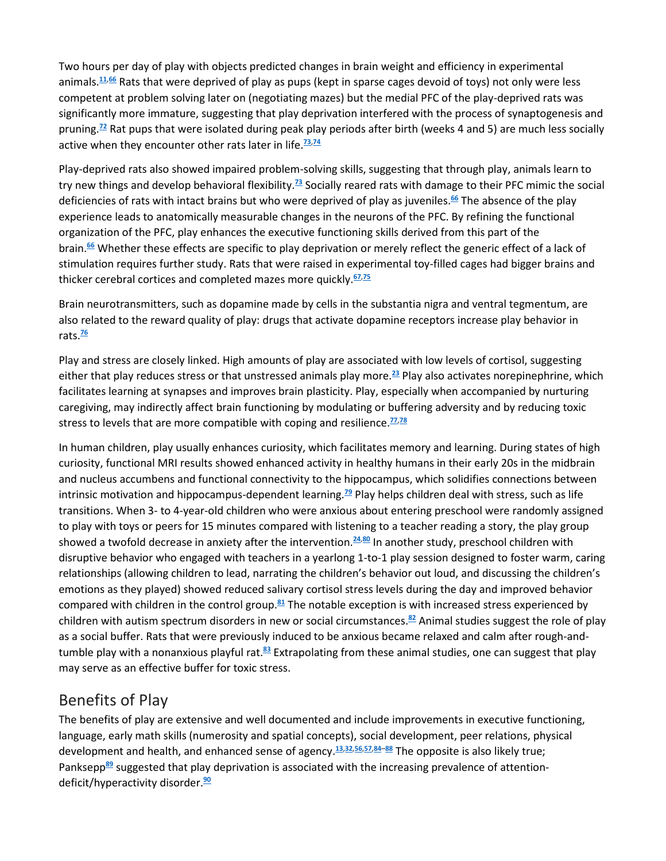Two hours per day of play with objects predicted changes in brain weight and efficiency in experimental animals.**[11](https://pediatrics.aappublications.org/content/142/3/e20182058#ref-11)**,**[66](https://pediatrics.aappublications.org/content/142/3/e20182058#ref-66)** Rats that were deprived of play as pups (kept in sparse cages devoid of toys) not only were less competent at problem solving later on (negotiating mazes) but the medial PFC of the play-deprived rats was significantly more immature, suggesting that play deprivation interfered with the process of synaptogenesis and pruning.**[72](https://pediatrics.aappublications.org/content/142/3/e20182058#ref-72)** Rat pups that were isolated during peak play periods after birth (weeks 4 and 5) are much less socially active when they encounter other rats later in life.**[73](https://pediatrics.aappublications.org/content/142/3/e20182058#ref-73)**,**[74](https://pediatrics.aappublications.org/content/142/3/e20182058#ref-74)**

Play-deprived rats also showed impaired problem-solving skills, suggesting that through play, animals learn to try new things and develop behavioral flexibility.**[73](https://pediatrics.aappublications.org/content/142/3/e20182058#ref-73)** Socially reared rats with damage to their PFC mimic the social deficiencies of rats with intact brains but who were deprived of play as juveniles.**[66](https://pediatrics.aappublications.org/content/142/3/e20182058#ref-66)** The absence of the play experience leads to anatomically measurable changes in the neurons of the PFC. By refining the functional organization of the PFC, play enhances the executive functioning skills derived from this part of the brain.**[66](https://pediatrics.aappublications.org/content/142/3/e20182058#ref-66)** Whether these effects are specific to play deprivation or merely reflect the generic effect of a lack of stimulation requires further study. Rats that were raised in experimental toy-filled cages had bigger brains and thicker cerebral cortices and completed mazes more quickly.**[67](https://pediatrics.aappublications.org/content/142/3/e20182058#ref-67)**,**[75](https://pediatrics.aappublications.org/content/142/3/e20182058#ref-75)**

Brain neurotransmitters, such as dopamine made by cells in the substantia nigra and ventral tegmentum, are also related to the reward quality of play: drugs that activate dopamine receptors increase play behavior in rats.**[76](https://pediatrics.aappublications.org/content/142/3/e20182058#ref-76)**

Play and stress are closely linked. High amounts of play are associated with low levels of cortisol, suggesting either that play reduces stress or that unstressed animals play more.**[23](https://pediatrics.aappublications.org/content/142/3/e20182058#ref-23)** Play also activates norepinephrine, which facilitates learning at synapses and improves brain plasticity. Play, especially when accompanied by nurturing caregiving, may indirectly affect brain functioning by modulating or buffering adversity and by reducing toxic stress to levels that are more compatible with coping and resilience.**[77](https://pediatrics.aappublications.org/content/142/3/e20182058#ref-77)**,**[78](https://pediatrics.aappublications.org/content/142/3/e20182058#ref-78)**

In human children, play usually enhances curiosity, which facilitates memory and learning. During states of high curiosity, functional MRI results showed enhanced activity in healthy humans in their early 20s in the midbrain and nucleus accumbens and functional connectivity to the hippocampus, which solidifies connections between intrinsic motivation and hippocampus-dependent learning.**[79](https://pediatrics.aappublications.org/content/142/3/e20182058#ref-79)** Play helps children deal with stress, such as life transitions. When 3- to 4-year-old children who were anxious about entering preschool were randomly assigned to play with toys or peers for 15 minutes compared with listening to a teacher reading a story, the play group showed a twofold decrease in anxiety after the intervention.**[24](https://pediatrics.aappublications.org/content/142/3/e20182058#ref-24)**,**[80](https://pediatrics.aappublications.org/content/142/3/e20182058#ref-80)** In another study, preschool children with disruptive behavior who engaged with teachers in a yearlong 1-to-1 play session designed to foster warm, caring relationships (allowing children to lead, narrating the children's behavior out loud, and discussing the children's emotions as they played) showed reduced salivary cortisol stress levels during the day and improved behavior compared with children in the control group.**[81](https://pediatrics.aappublications.org/content/142/3/e20182058#ref-81)** The notable exception is with increased stress experienced by children with autism spectrum disorders in new or social circumstances.**[82](https://pediatrics.aappublications.org/content/142/3/e20182058#ref-82)** Animal studies suggest the role of play as a social buffer. Rats that were previously induced to be anxious became relaxed and calm after rough-andtumble play with a nonanxious playful rat.**[83](https://pediatrics.aappublications.org/content/142/3/e20182058#ref-83)** Extrapolating from these animal studies, one can suggest that play may serve as an effective buffer for toxic stress.

## Benefits of Play

The benefits of play are extensive and well documented and include improvements in executive functioning, language, early math skills (numerosity and spatial concepts), social development, peer relations, physical development and health, and enhanced sense of agency.**[13](https://pediatrics.aappublications.org/content/142/3/e20182058#ref-13)**,**[32](https://pediatrics.aappublications.org/content/142/3/e20182058#ref-32)**,**[56](https://pediatrics.aappublications.org/content/142/3/e20182058#ref-56)**,**[57](https://pediatrics.aappublications.org/content/142/3/e20182058#ref-57)**,**[84](https://pediatrics.aappublications.org/content/142/3/e20182058#ref-84)**–**[88](https://pediatrics.aappublications.org/content/142/3/e20182058#ref-88)** The opposite is also likely true; Panksepp**[89](https://pediatrics.aappublications.org/content/142/3/e20182058#ref-89)** suggested that play deprivation is associated with the increasing prevalence of attentiondeficit/hyperactivity disorder.**[90](https://pediatrics.aappublications.org/content/142/3/e20182058#ref-90)**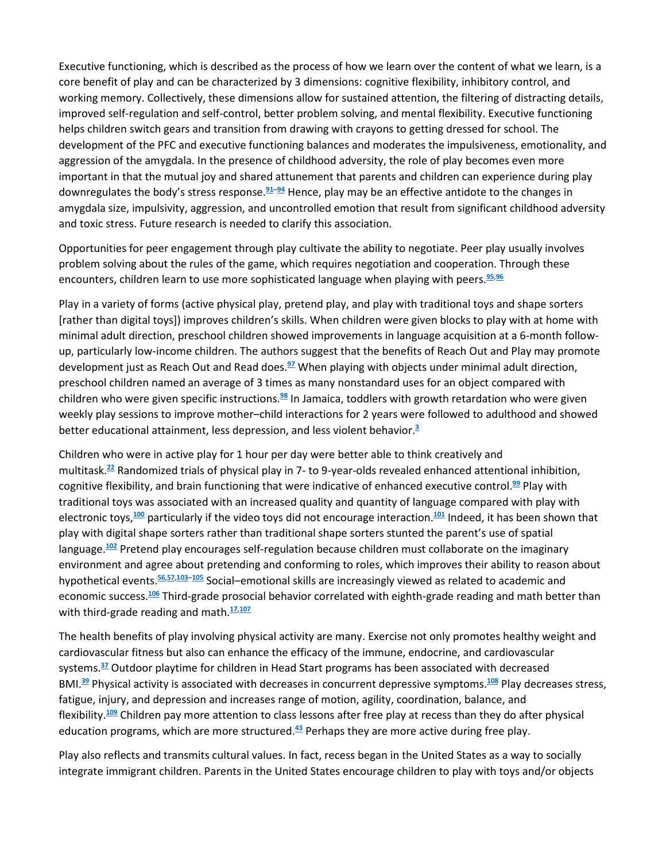Executive functioning, which is described as the process of how we learn over the content of what we learn, is a core benefit of play and can be characterized by 3 dimensions: cognitive flexibility, inhibitory control, and working memory. Collectively, these dimensions allow for sustained attention, the filtering of distracting details, improved self-regulation and self-control, better problem solving, and mental flexibility. Executive functioning helps children switch gears and transition from drawing with crayons to getting dressed for school. The development of the PFC and executive functioning balances and moderates the impulsiveness, emotionality, and aggression of the amygdala. In the presence of childhood adversity, the role of play becomes even more important in that the mutual joy and shared attunement that parents and children can experience during play downregulates the body's stress response.**[91](https://pediatrics.aappublications.org/content/142/3/e20182058#ref-91)**–**[94](https://pediatrics.aappublications.org/content/142/3/e20182058#ref-94)** Hence, play may be an effective antidote to the changes in amygdala size, impulsivity, aggression, and uncontrolled emotion that result from significant childhood adversity and toxic stress. Future research is needed to clarify this association.

Opportunities for peer engagement through play cultivate the ability to negotiate. Peer play usually involves problem solving about the rules of the game, which requires negotiation and cooperation. Through these encounters, children learn to use more sophisticated language when playing with peers.**[95](https://pediatrics.aappublications.org/content/142/3/e20182058#ref-95)**,**[96](https://pediatrics.aappublications.org/content/142/3/e20182058#ref-96)**

Play in a variety of forms (active physical play, pretend play, and play with traditional toys and shape sorters [rather than digital toys]) improves children's skills. When children were given blocks to play with at home with minimal adult direction, preschool children showed improvements in language acquisition at a 6-month followup, particularly low-income children. The authors suggest that the benefits of Reach Out and Play may promote development just as Reach Out and Read does.**[97](https://pediatrics.aappublications.org/content/142/3/e20182058#ref-97)** When playing with objects under minimal adult direction, preschool children named an average of 3 times as many nonstandard uses for an object compared with children who were given specific instructions.**[98](https://pediatrics.aappublications.org/content/142/3/e20182058#ref-98)** In Jamaica, toddlers with growth retardation who were given weekly play sessions to improve mother–child interactions for 2 years were followed to adulthood and showed better educational attainment, less depression, and less violent behavior.**[3](https://pediatrics.aappublications.org/content/142/3/e20182058#ref-3)**

Children who were in active play for 1 hour per day were better able to think creatively and multitask.**[22](https://pediatrics.aappublications.org/content/142/3/e20182058#ref-22)** Randomized trials of physical play in 7- to 9-year-olds revealed enhanced attentional inhibition, cognitive flexibility, and brain functioning that were indicative of enhanced executive control.**[99](https://pediatrics.aappublications.org/content/142/3/e20182058#ref-99)** Play with traditional toys was associated with an increased quality and quantity of language compared with play with electronic toys,**[100](https://pediatrics.aappublications.org/content/142/3/e20182058#ref-100)** particularly if the video toys did not encourage interaction.**[101](https://pediatrics.aappublications.org/content/142/3/e20182058#ref-101)** Indeed, it has been shown that play with digital shape sorters rather than traditional shape sorters stunted the parent's use of spatial language.**[102](https://pediatrics.aappublications.org/content/142/3/e20182058#ref-102)** Pretend play encourages self-regulation because children must collaborate on the imaginary environment and agree about pretending and conforming to roles, which improves their ability to reason about hypothetical events.**[56](https://pediatrics.aappublications.org/content/142/3/e20182058#ref-56)**,**[57](https://pediatrics.aappublications.org/content/142/3/e20182058#ref-57)**,**[103](https://pediatrics.aappublications.org/content/142/3/e20182058#ref-103)**–**[105](https://pediatrics.aappublications.org/content/142/3/e20182058#ref-105)** Social–emotional skills are increasingly viewed as related to academic and economic success.**[106](https://pediatrics.aappublications.org/content/142/3/e20182058#ref-106)** Third-grade prosocial behavior correlated with eighth-grade reading and math better than with third-grade reading and math.**[17](https://pediatrics.aappublications.org/content/142/3/e20182058#ref-17)**,**[107](https://pediatrics.aappublications.org/content/142/3/e20182058#ref-107)**

The health benefits of play involving physical activity are many. Exercise not only promotes healthy weight and cardiovascular fitness but also can enhance the efficacy of the immune, endocrine, and cardiovascular systems.**[37](https://pediatrics.aappublications.org/content/142/3/e20182058#ref-37)** Outdoor playtime for children in Head Start programs has been associated with decreased BMI.**[39](https://pediatrics.aappublications.org/content/142/3/e20182058#ref-39)** Physical activity is associated with decreases in concurrent depressive symptoms.**[108](https://pediatrics.aappublications.org/content/142/3/e20182058#ref-108)** Play decreases stress, fatigue, injury, and depression and increases range of motion, agility, coordination, balance, and flexibility.**[109](https://pediatrics.aappublications.org/content/142/3/e20182058#ref-109)** Children pay more attention to class lessons after free play at recess than they do after physical education programs, which are more structured.**[43](https://pediatrics.aappublications.org/content/142/3/e20182058#ref-43)** Perhaps they are more active during free play.

Play also reflects and transmits cultural values. In fact, recess began in the United States as a way to socially integrate immigrant children. Parents in the United States encourage children to play with toys and/or objects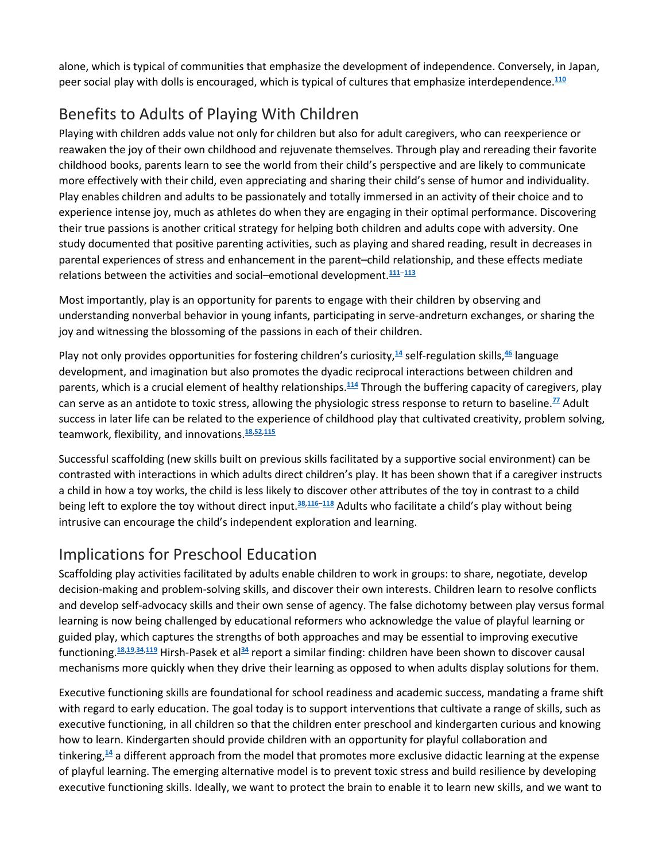alone, which is typical of communities that emphasize the development of independence. Conversely, in Japan, peer social play with dolls is encouraged, which is typical of cultures that emphasize interdependence.**[110](https://pediatrics.aappublications.org/content/142/3/e20182058#ref-110)**

# Benefits to Adults of Playing With Children

Playing with children adds value not only for children but also for adult caregivers, who can reexperience or reawaken the joy of their own childhood and rejuvenate themselves. Through play and rereading their favorite childhood books, parents learn to see the world from their child's perspective and are likely to communicate more effectively with their child, even appreciating and sharing their child's sense of humor and individuality. Play enables children and adults to be passionately and totally immersed in an activity of their choice and to experience intense joy, much as athletes do when they are engaging in their optimal performance. Discovering their true passions is another critical strategy for helping both children and adults cope with adversity. One study documented that positive parenting activities, such as playing and shared reading, result in decreases in parental experiences of stress and enhancement in the parent–child relationship, and these effects mediate relations between the activities and social–emotional development.**[111](https://pediatrics.aappublications.org/content/142/3/e20182058#ref-111)**–**[113](https://pediatrics.aappublications.org/content/142/3/e20182058#ref-113)**

Most importantly, play is an opportunity for parents to engage with their children by observing and understanding nonverbal behavior in young infants, participating in serve-andreturn exchanges, or sharing the joy and witnessing the blossoming of the passions in each of their children.

Play not only provides opportunities for fostering children's curiosity,**[14](https://pediatrics.aappublications.org/content/142/3/e20182058#ref-14)** self-regulation skills,**[46](https://pediatrics.aappublications.org/content/142/3/e20182058#ref-46)** language development, and imagination but also promotes the dyadic reciprocal interactions between children and parents, which is a crucial element of healthy relationships.**[114](https://pediatrics.aappublications.org/content/142/3/e20182058#ref-114)** Through the buffering capacity of caregivers, play can serve as an antidote to toxic stress, allowing the physiologic stress response to return to baseline.**[77](https://pediatrics.aappublications.org/content/142/3/e20182058#ref-77)** Adult success in later life can be related to the experience of childhood play that cultivated creativity, problem solving, teamwork, flexibility, and innovations.**[18](https://pediatrics.aappublications.org/content/142/3/e20182058#ref-18)**,**[52](https://pediatrics.aappublications.org/content/142/3/e20182058#ref-52)**,**[115](https://pediatrics.aappublications.org/content/142/3/e20182058#ref-115)**

Successful scaffolding (new skills built on previous skills facilitated by a supportive social environment) can be contrasted with interactions in which adults direct children's play. It has been shown that if a caregiver instructs a child in how a toy works, the child is less likely to discover other attributes of the toy in contrast to a child being left to explore the toy without direct input.**[38](https://pediatrics.aappublications.org/content/142/3/e20182058#ref-38)**,**[116](https://pediatrics.aappublications.org/content/142/3/e20182058#ref-116)**–**[118](https://pediatrics.aappublications.org/content/142/3/e20182058#ref-118)** Adults who facilitate a child's play without being intrusive can encourage the child's independent exploration and learning.

# Implications for Preschool Education

Scaffolding play activities facilitated by adults enable children to work in groups: to share, negotiate, develop decision-making and problem-solving skills, and discover their own interests. Children learn to resolve conflicts and develop self-advocacy skills and their own sense of agency. The false dichotomy between play versus formal learning is now being challenged by educational reformers who acknowledge the value of playful learning or guided play, which captures the strengths of both approaches and may be essential to improving executive functioning.**[18](https://pediatrics.aappublications.org/content/142/3/e20182058#ref-18)**,**[19](https://pediatrics.aappublications.org/content/142/3/e20182058#ref-19)**,**[34](https://pediatrics.aappublications.org/content/142/3/e20182058#ref-34)**,**[119](https://pediatrics.aappublications.org/content/142/3/e20182058#ref-119)** Hirsh-Pasek et al**[34](https://pediatrics.aappublications.org/content/142/3/e20182058#ref-34)** report a similar finding: children have been shown to discover causal mechanisms more quickly when they drive their learning as opposed to when adults display solutions for them.

Executive functioning skills are foundational for school readiness and academic success, mandating a frame shift with regard to early education. The goal today is to support interventions that cultivate a range of skills, such as executive functioning, in all children so that the children enter preschool and kindergarten curious and knowing how to learn. Kindergarten should provide children with an opportunity for playful collaboration and tinkering,**[14](https://pediatrics.aappublications.org/content/142/3/e20182058#ref-14)** a different approach from the model that promotes more exclusive didactic learning at the expense of playful learning. The emerging alternative model is to prevent toxic stress and build resilience by developing executive functioning skills. Ideally, we want to protect the brain to enable it to learn new skills, and we want to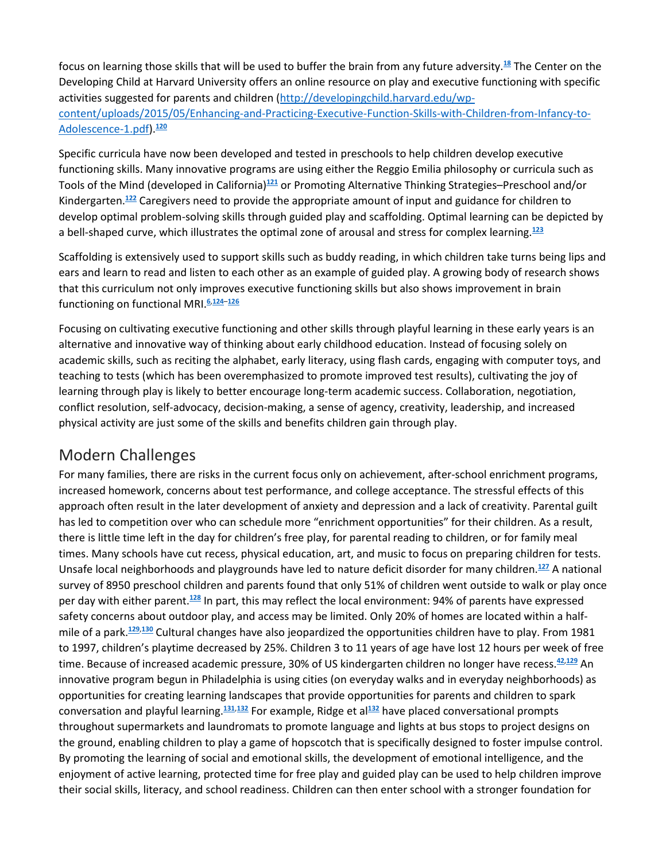focus on learning those skills that will be used to buffer the brain from any future adversity.**[18](https://pediatrics.aappublications.org/content/142/3/e20182058#ref-18)** The Center on the Developing Child at Harvard University offers an online resource on play and executive functioning with specific activities suggested for parents and children [\(http://developingchild.harvard.edu/wp](http://developingchild.harvard.edu/wp-content/uploads/2015/05/Enhancing-and-Practicing-Executive-Function-Skills-with-Children-from-Infancy-to-Adolescence-1.pdf)[content/uploads/2015/05/Enhancing-and-Practicing-Executive-Function-Skills-with-Children-from-Infancy-to-](http://developingchild.harvard.edu/wp-content/uploads/2015/05/Enhancing-and-Practicing-Executive-Function-Skills-with-Children-from-Infancy-to-Adolescence-1.pdf)[Adolescence-1.pdf\)](http://developingchild.harvard.edu/wp-content/uploads/2015/05/Enhancing-and-Practicing-Executive-Function-Skills-with-Children-from-Infancy-to-Adolescence-1.pdf).**[120](https://pediatrics.aappublications.org/content/142/3/e20182058#ref-120)**

Specific curricula have now been developed and tested in preschools to help children develop executive functioning skills. Many innovative programs are using either the Reggio Emilia philosophy or curricula such as Tools of the Mind (developed in California)**[121](https://pediatrics.aappublications.org/content/142/3/e20182058#ref-121)** or Promoting Alternative Thinking Strategies–Preschool and/or Kindergarten.**[122](https://pediatrics.aappublications.org/content/142/3/e20182058#ref-122)** Caregivers need to provide the appropriate amount of input and guidance for children to develop optimal problem-solving skills through guided play and scaffolding. Optimal learning can be depicted by a bell-shaped curve, which illustrates the optimal zone of arousal and stress for complex learning.**[123](https://pediatrics.aappublications.org/content/142/3/e20182058#ref-123)**

Scaffolding is extensively used to support skills such as buddy reading, in which children take turns being lips and ears and learn to read and listen to each other as an example of guided play. A growing body of research shows that this curriculum not only improves executive functioning skills but also shows improvement in brain functioning on functional MRI.**[6](https://pediatrics.aappublications.org/content/142/3/e20182058#ref-6)**,**[124](https://pediatrics.aappublications.org/content/142/3/e20182058#ref-124)**–**[126](https://pediatrics.aappublications.org/content/142/3/e20182058#ref-126)**

Focusing on cultivating executive functioning and other skills through playful learning in these early years is an alternative and innovative way of thinking about early childhood education. Instead of focusing solely on academic skills, such as reciting the alphabet, early literacy, using flash cards, engaging with computer toys, and teaching to tests (which has been overemphasized to promote improved test results), cultivating the joy of learning through play is likely to better encourage long-term academic success. Collaboration, negotiation, conflict resolution, self-advocacy, decision-making, a sense of agency, creativity, leadership, and increased physical activity are just some of the skills and benefits children gain through play.

# Modern Challenges

For many families, there are risks in the current focus only on achievement, after-school enrichment programs, increased homework, concerns about test performance, and college acceptance. The stressful effects of this approach often result in the later development of anxiety and depression and a lack of creativity. Parental guilt has led to competition over who can schedule more "enrichment opportunities" for their children. As a result, there is little time left in the day for children's free play, for parental reading to children, or for family meal times. Many schools have cut recess, physical education, art, and music to focus on preparing children for tests. Unsafe local neighborhoods and playgrounds have led to nature deficit disorder for many children.**[127](https://pediatrics.aappublications.org/content/142/3/e20182058#ref-127)** A national survey of 8950 preschool children and parents found that only 51% of children went outside to walk or play once per day with either parent.**[128](https://pediatrics.aappublications.org/content/142/3/e20182058#ref-128)** In part, this may reflect the local environment: 94% of parents have expressed safety concerns about outdoor play, and access may be limited. Only 20% of homes are located within a halfmile of a park.**[129](https://pediatrics.aappublications.org/content/142/3/e20182058#ref-129)**,**[130](https://pediatrics.aappublications.org/content/142/3/e20182058#ref-130)** Cultural changes have also jeopardized the opportunities children have to play. From 1981 to 1997, children's playtime decreased by 25%. Children 3 to 11 years of age have lost 12 hours per week of free time. Because of increased academic pressure, 30% of US kindergarten children no longer have recess.**[42](https://pediatrics.aappublications.org/content/142/3/e20182058#ref-42)**,**[129](https://pediatrics.aappublications.org/content/142/3/e20182058#ref-129)** An innovative program begun in Philadelphia is using cities (on everyday walks and in everyday neighborhoods) as opportunities for creating learning landscapes that provide opportunities for parents and children to spark conversation and playful learning.**[131](https://pediatrics.aappublications.org/content/142/3/e20182058#ref-131)**,**[132](https://pediatrics.aappublications.org/content/142/3/e20182058#ref-132)** For example, Ridge et al**[132](https://pediatrics.aappublications.org/content/142/3/e20182058#ref-132)** have placed conversational prompts throughout supermarkets and laundromats to promote language and lights at bus stops to project designs on the ground, enabling children to play a game of hopscotch that is specifically designed to foster impulse control. By promoting the learning of social and emotional skills, the development of emotional intelligence, and the enjoyment of active learning, protected time for free play and guided play can be used to help children improve their social skills, literacy, and school readiness. Children can then enter school with a stronger foundation for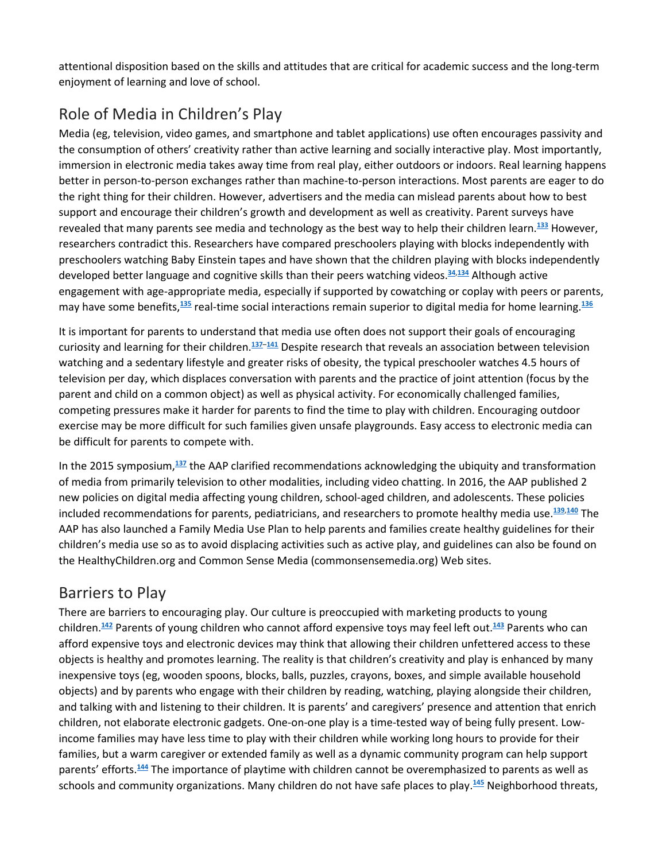attentional disposition based on the skills and attitudes that are critical for academic success and the long-term enjoyment of learning and love of school.

# Role of Media in Children's Play

Media (eg, television, video games, and smartphone and tablet applications) use often encourages passivity and the consumption of others' creativity rather than active learning and socially interactive play. Most importantly, immersion in electronic media takes away time from real play, either outdoors or indoors. Real learning happens better in person-to-person exchanges rather than machine-to-person interactions. Most parents are eager to do the right thing for their children. However, advertisers and the media can mislead parents about how to best support and encourage their children's growth and development as well as creativity. Parent surveys have revealed that many parents see media and technology as the best way to help their children learn.**[133](https://pediatrics.aappublications.org/content/142/3/e20182058#ref-133)** However, researchers contradict this. Researchers have compared preschoolers playing with blocks independently with preschoolers watching Baby Einstein tapes and have shown that the children playing with blocks independently developed better language and cognitive skills than their peers watching videos.**[34](https://pediatrics.aappublications.org/content/142/3/e20182058#ref-34)**,**[134](https://pediatrics.aappublications.org/content/142/3/e20182058#ref-134)** Although active engagement with age-appropriate media, especially if supported by cowatching or coplay with peers or parents, may have some benefits,**[135](https://pediatrics.aappublications.org/content/142/3/e20182058#ref-135)** real-time social interactions remain superior to digital media for home learning.**[136](https://pediatrics.aappublications.org/content/142/3/e20182058#ref-136)**

It is important for parents to understand that media use often does not support their goals of encouraging curiosity and learning for their children.**[137](https://pediatrics.aappublications.org/content/142/3/e20182058#ref-137)**–**[141](https://pediatrics.aappublications.org/content/142/3/e20182058#ref-141)** Despite research that reveals an association between television watching and a sedentary lifestyle and greater risks of obesity, the typical preschooler watches 4.5 hours of television per day, which displaces conversation with parents and the practice of joint attention (focus by the parent and child on a common object) as well as physical activity. For economically challenged families, competing pressures make it harder for parents to find the time to play with children. Encouraging outdoor exercise may be more difficult for such families given unsafe playgrounds. Easy access to electronic media can be difficult for parents to compete with.

In the 2015 symposium,**[137](https://pediatrics.aappublications.org/content/142/3/e20182058#ref-137)** the AAP clarified recommendations acknowledging the ubiquity and transformation of media from primarily television to other modalities, including video chatting. In 2016, the AAP published 2 new policies on digital media affecting young children, school-aged children, and adolescents. These policies included recommendations for parents, pediatricians, and researchers to promote healthy media use.**[139](https://pediatrics.aappublications.org/content/142/3/e20182058#ref-139)**,**[140](https://pediatrics.aappublications.org/content/142/3/e20182058#ref-140)** The AAP has also launched a Family Media Use Plan to help parents and families create healthy guidelines for their children's media use so as to avoid displacing activities such as active play, and guidelines can also be found on the HealthyChildren.org and Common Sense Media (commonsensemedia.org) Web sites.

# Barriers to Play

There are barriers to encouraging play. Our culture is preoccupied with marketing products to young children.**[142](https://pediatrics.aappublications.org/content/142/3/e20182058#ref-142)** Parents of young children who cannot afford expensive toys may feel left out.**[143](https://pediatrics.aappublications.org/content/142/3/e20182058#ref-143)** Parents who can afford expensive toys and electronic devices may think that allowing their children unfettered access to these objects is healthy and promotes learning. The reality is that children's creativity and play is enhanced by many inexpensive toys (eg, wooden spoons, blocks, balls, puzzles, crayons, boxes, and simple available household objects) and by parents who engage with their children by reading, watching, playing alongside their children, and talking with and listening to their children. It is parents' and caregivers' presence and attention that enrich children, not elaborate electronic gadgets. One-on-one play is a time-tested way of being fully present. Lowincome families may have less time to play with their children while working long hours to provide for their families, but a warm caregiver or extended family as well as a dynamic community program can help support parents' efforts.**[144](https://pediatrics.aappublications.org/content/142/3/e20182058#ref-144)** The importance of playtime with children cannot be overemphasized to parents as well as schools and community organizations. Many children do not have safe places to play.**[145](https://pediatrics.aappublications.org/content/142/3/e20182058#ref-145)** Neighborhood threats,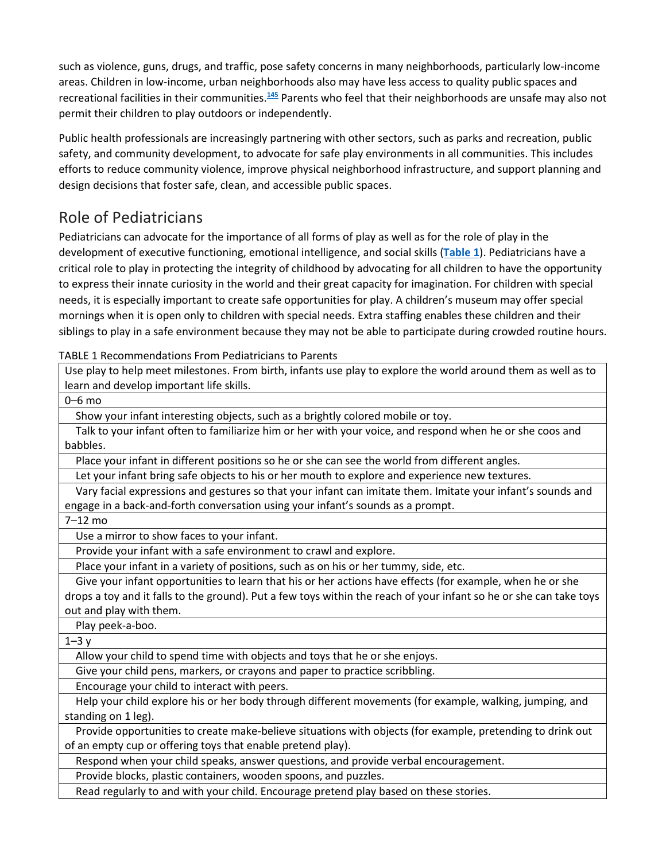such as violence, guns, drugs, and traffic, pose safety concerns in many neighborhoods, particularly low-income areas. Children in low-income, urban neighborhoods also may have less access to quality public spaces and recreational facilities in their communities.**[145](https://pediatrics.aappublications.org/content/142/3/e20182058#ref-145)** Parents who feel that their neighborhoods are unsafe may also not permit their children to play outdoors or independently.

Public health professionals are increasingly partnering with other sectors, such as parks and recreation, public safety, and community development, to advocate for safe play environments in all communities. This includes efforts to reduce community violence, improve physical neighborhood infrastructure, and support planning and design decisions that foster safe, clean, and accessible public spaces.

## Role of Pediatricians

Pediatricians can advocate for the importance of all forms of play as well as for the role of play in the development of executive functioning, emotional intelligence, and social skills (**[Table 1](https://pediatrics.aappublications.org/content/142/3/e20182058#T1)**). Pediatricians have a critical role to play in protecting the integrity of childhood by advocating for all children to have the opportunity to express their innate curiosity in the world and their great capacity for imagination. For children with special needs, it is especially important to create safe opportunities for play. A children's museum may offer special mornings when it is open only to children with special needs. Extra staffing enables these children and their siblings to play in a safe environment because they may not be able to participate during crowded routine hours.

TABLE 1 Recommendations From Pediatricians to Parents

| Use play to help meet milestones. From birth, infants use play to explore the world around them as well as to      |
|--------------------------------------------------------------------------------------------------------------------|
| learn and develop important life skills.                                                                           |
| $0 - 6$ mo                                                                                                         |
| Show your infant interesting objects, such as a brightly colored mobile or toy.                                    |
| Talk to your infant often to familiarize him or her with your voice, and respond when he or she coos and           |
| babbles.                                                                                                           |
| Place your infant in different positions so he or she can see the world from different angles.                     |
| Let your infant bring safe objects to his or her mouth to explore and experience new textures.                     |
| Vary facial expressions and gestures so that your infant can imitate them. Imitate your infant's sounds and        |
| engage in a back-and-forth conversation using your infant's sounds as a prompt.                                    |
| $7-12$ mo                                                                                                          |
| Use a mirror to show faces to your infant.                                                                         |
| Provide your infant with a safe environment to crawl and explore.                                                  |
| Place your infant in a variety of positions, such as on his or her tummy, side, etc.                               |
| Give your infant opportunities to learn that his or her actions have effects (for example, when he or she          |
| drops a toy and it falls to the ground). Put a few toys within the reach of your infant so he or she can take toys |
| out and play with them.                                                                                            |
| Play peek-a-boo.                                                                                                   |
| $1 - 3y$                                                                                                           |
| Allow your child to spend time with objects and toys that he or she enjoys.                                        |
| Give your child pens, markers, or crayons and paper to practice scribbling.                                        |
| Encourage your child to interact with peers.                                                                       |
| Help your child explore his or her body through different movements (for example, walking, jumping, and            |
| standing on 1 leg).                                                                                                |
| Provide opportunities to create make-believe situations with objects (for example, pretending to drink out         |
| of an empty cup or offering toys that enable pretend play).                                                        |
| Respond when your child speaks, answer questions, and provide verbal encouragement.                                |
| Provide blocks, plastic containers, wooden spoons, and puzzles.                                                    |
| Read regularly to and with your child. Encourage pretend play based on these stories.                              |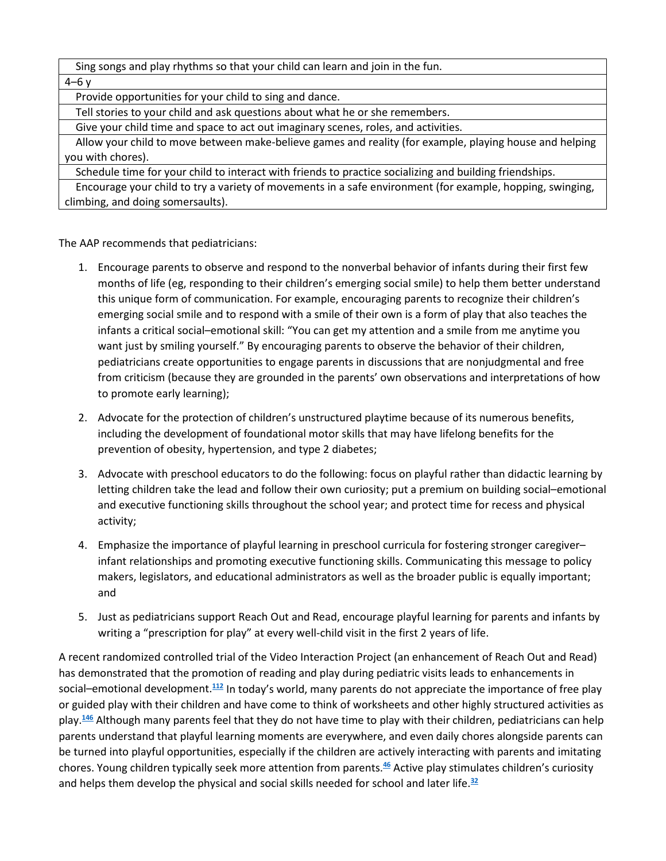Sing songs and play rhythms so that your child can learn and join in the fun.

4–6 y

Provide opportunities for your child to sing and dance.

Tell stories to your child and ask questions about what he or she remembers.

Give your child time and space to act out imaginary scenes, roles, and activities.

Allow your child to move between make-believe games and reality (for example, playing house and helping you with chores).

Schedule time for your child to interact with friends to practice socializing and building friendships.

Encourage your child to try a variety of movements in a safe environment (for example, hopping, swinging, climbing, and doing somersaults).

The AAP recommends that pediatricians:

- 1. Encourage parents to observe and respond to the nonverbal behavior of infants during their first few months of life (eg, responding to their children's emerging social smile) to help them better understand this unique form of communication. For example, encouraging parents to recognize their children's emerging social smile and to respond with a smile of their own is a form of play that also teaches the infants a critical social–emotional skill: "You can get my attention and a smile from me anytime you want just by smiling yourself." By encouraging parents to observe the behavior of their children, pediatricians create opportunities to engage parents in discussions that are nonjudgmental and free from criticism (because they are grounded in the parents' own observations and interpretations of how to promote early learning);
- 2. Advocate for the protection of children's unstructured playtime because of its numerous benefits, including the development of foundational motor skills that may have lifelong benefits for the prevention of obesity, hypertension, and type 2 diabetes;
- 3. Advocate with preschool educators to do the following: focus on playful rather than didactic learning by letting children take the lead and follow their own curiosity; put a premium on building social–emotional and executive functioning skills throughout the school year; and protect time for recess and physical activity;
- 4. Emphasize the importance of playful learning in preschool curricula for fostering stronger caregiver– infant relationships and promoting executive functioning skills. Communicating this message to policy makers, legislators, and educational administrators as well as the broader public is equally important; and
- 5. Just as pediatricians support Reach Out and Read, encourage playful learning for parents and infants by writing a "prescription for play" at every well-child visit in the first 2 years of life.

A recent randomized controlled trial of the Video Interaction Project (an enhancement of Reach Out and Read) has demonstrated that the promotion of reading and play during pediatric visits leads to enhancements in social–emotional development.**[112](https://pediatrics.aappublications.org/content/142/3/e20182058#ref-112)** In today's world, many parents do not appreciate the importance of free play or guided play with their children and have come to think of worksheets and other highly structured activities as play.**[146](https://pediatrics.aappublications.org/content/142/3/e20182058#ref-146)** Although many parents feel that they do not have time to play with their children, pediatricians can help parents understand that playful learning moments are everywhere, and even daily chores alongside parents can be turned into playful opportunities, especially if the children are actively interacting with parents and imitating chores. Young children typically seek more attention from parents.**[46](https://pediatrics.aappublications.org/content/142/3/e20182058#ref-46)** Active play stimulates children's curiosity and helps them develop the physical and social skills needed for school and later life.**[32](https://pediatrics.aappublications.org/content/142/3/e20182058#ref-32)**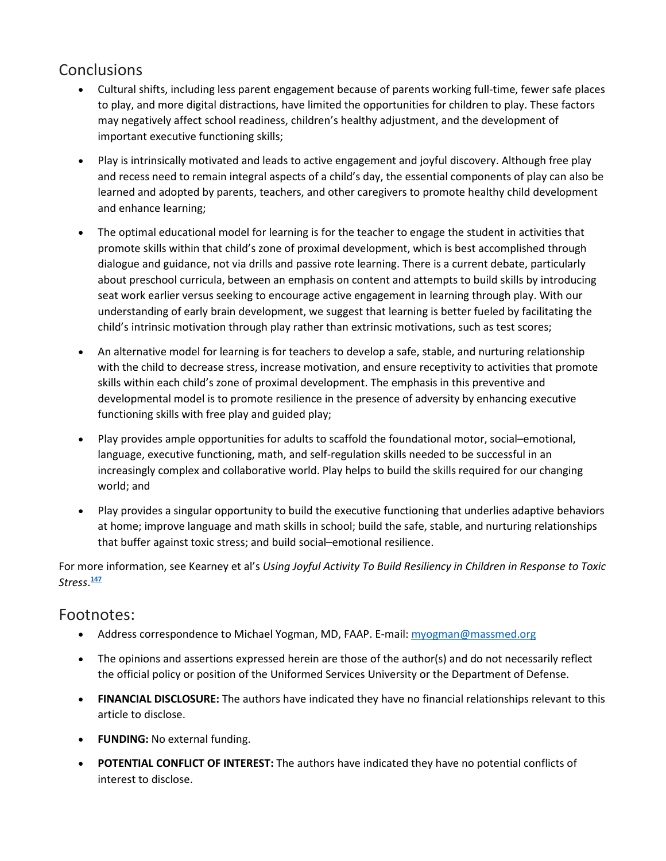# **Conclusions**

- Cultural shifts, including less parent engagement because of parents working full-time, fewer safe places to play, and more digital distractions, have limited the opportunities for children to play. These factors may negatively affect school readiness, children's healthy adjustment, and the development of important executive functioning skills;
- Play is intrinsically motivated and leads to active engagement and joyful discovery. Although free play and recess need to remain integral aspects of a child's day, the essential components of play can also be learned and adopted by parents, teachers, and other caregivers to promote healthy child development and enhance learning;
- The optimal educational model for learning is for the teacher to engage the student in activities that promote skills within that child's zone of proximal development, which is best accomplished through dialogue and guidance, not via drills and passive rote learning. There is a current debate, particularly about preschool curricula, between an emphasis on content and attempts to build skills by introducing seat work earlier versus seeking to encourage active engagement in learning through play. With our understanding of early brain development, we suggest that learning is better fueled by facilitating the child's intrinsic motivation through play rather than extrinsic motivations, such as test scores;
- An alternative model for learning is for teachers to develop a safe, stable, and nurturing relationship with the child to decrease stress, increase motivation, and ensure receptivity to activities that promote skills within each child's zone of proximal development. The emphasis in this preventive and developmental model is to promote resilience in the presence of adversity by enhancing executive functioning skills with free play and guided play;
- Play provides ample opportunities for adults to scaffold the foundational motor, social–emotional, language, executive functioning, math, and self-regulation skills needed to be successful in an increasingly complex and collaborative world. Play helps to build the skills required for our changing world; and
- Play provides a singular opportunity to build the executive functioning that underlies adaptive behaviors at home; improve language and math skills in school; build the safe, stable, and nurturing relationships that buffer against toxic stress; and build social–emotional resilience.

For more information, see Kearney et al's *Using Joyful Activity To Build Resiliency in Children in Response to Toxic Stress*. **[147](https://pediatrics.aappublications.org/content/142/3/e20182058#ref-147)**

#### Footnotes:

- Address correspondence to Michael Yogman, MD, FAAP. E-mail: [myogman@massmed.org](mailto:myogman@massmed.org)
- The opinions and assertions expressed herein are those of the author(s) and do not necessarily reflect the official policy or position of the Uniformed Services University or the Department of Defense.
- **FINANCIAL DISCLOSURE:** The authors have indicated they have no financial relationships relevant to this article to disclose.
- **FUNDING:** No external funding.
- **POTENTIAL CONFLICT OF INTEREST:** The authors have indicated they have no potential conflicts of interest to disclose.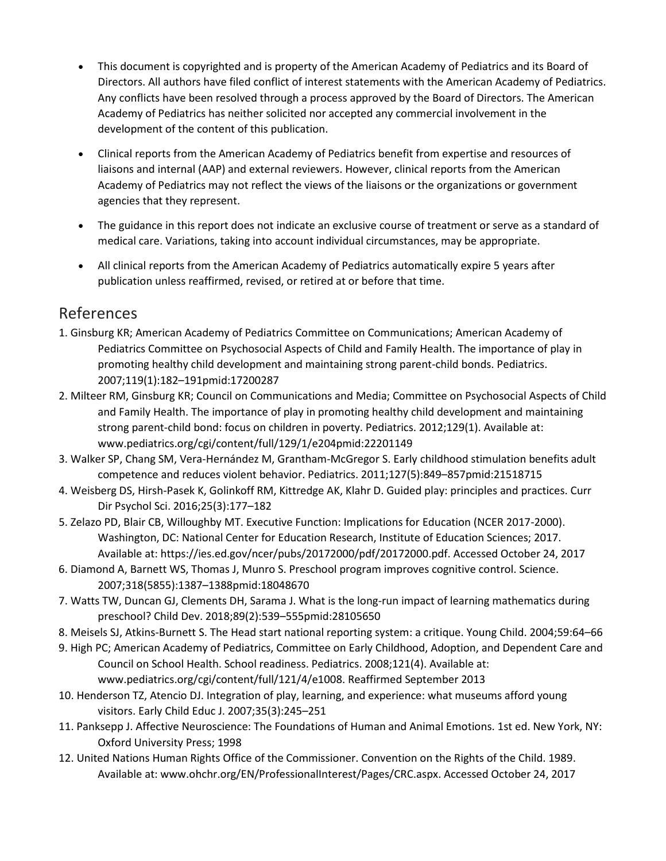- This document is copyrighted and is property of the American Academy of Pediatrics and its Board of Directors. All authors have filed conflict of interest statements with the American Academy of Pediatrics. Any conflicts have been resolved through a process approved by the Board of Directors. The American Academy of Pediatrics has neither solicited nor accepted any commercial involvement in the development of the content of this publication.
- Clinical reports from the American Academy of Pediatrics benefit from expertise and resources of liaisons and internal (AAP) and external reviewers. However, clinical reports from the American Academy of Pediatrics may not reflect the views of the liaisons or the organizations or government agencies that they represent.
- The guidance in this report does not indicate an exclusive course of treatment or serve as a standard of medical care. Variations, taking into account individual circumstances, may be appropriate.
- All clinical reports from the American Academy of Pediatrics automatically expire 5 years after publication unless reaffirmed, revised, or retired at or before that time.

## References

- 1. Ginsburg KR; American Academy of Pediatrics Committee on Communications; American Academy of Pediatrics Committee on Psychosocial Aspects of Child and Family Health. The importance of play in promoting healthy child development and maintaining strong parent-child bonds. Pediatrics. 2007;119(1):182–191pmid:17200287
- 2. Milteer RM, Ginsburg KR; Council on Communications and Media; Committee on Psychosocial Aspects of Child and Family Health. The importance of play in promoting healthy child development and maintaining strong parent-child bond: focus on children in poverty. Pediatrics. 2012;129(1). Available at: www.pediatrics.org/cgi/content/full/129/1/e204pmid:22201149
- 3. Walker SP, Chang SM, Vera-Hernández M, Grantham-McGregor S. Early childhood stimulation benefits adult competence and reduces violent behavior. Pediatrics. 2011;127(5):849–857pmid:21518715
- 4. Weisberg DS, Hirsh-Pasek K, Golinkoff RM, Kittredge AK, Klahr D. Guided play: principles and practices. Curr Dir Psychol Sci. 2016;25(3):177–182
- 5. Zelazo PD, Blair CB, Willoughby MT. Executive Function: Implications for Education (NCER 2017-2000). Washington, DC: National Center for Education Research, Institute of Education Sciences; 2017. Available at: https://ies.ed.gov/ncer/pubs/20172000/pdf/20172000.pdf. Accessed October 24, 2017
- 6. Diamond A, Barnett WS, Thomas J, Munro S. Preschool program improves cognitive control. Science. 2007;318(5855):1387–1388pmid:18048670
- 7. Watts TW, Duncan GJ, Clements DH, Sarama J. What is the long-run impact of learning mathematics during preschool? Child Dev. 2018;89(2):539–555pmid:28105650
- 8. Meisels SJ, Atkins-Burnett S. The Head start national reporting system: a critique. Young Child. 2004;59:64–66
- 9. High PC; American Academy of Pediatrics, Committee on Early Childhood, Adoption, and Dependent Care and Council on School Health. School readiness. Pediatrics. 2008;121(4). Available at: www.pediatrics.org/cgi/content/full/121/4/e1008. Reaffirmed September 2013
- 10. Henderson TZ, Atencio DJ. Integration of play, learning, and experience: what museums afford young visitors. Early Child Educ J. 2007;35(3):245–251
- 11. Panksepp J. Affective Neuroscience: The Foundations of Human and Animal Emotions. 1st ed. New York, NY: Oxford University Press; 1998
- 12. United Nations Human Rights Office of the Commissioner. Convention on the Rights of the Child. 1989. Available at: www.ohchr.org/EN/ProfessionalInterest/Pages/CRC.aspx. Accessed October 24, 2017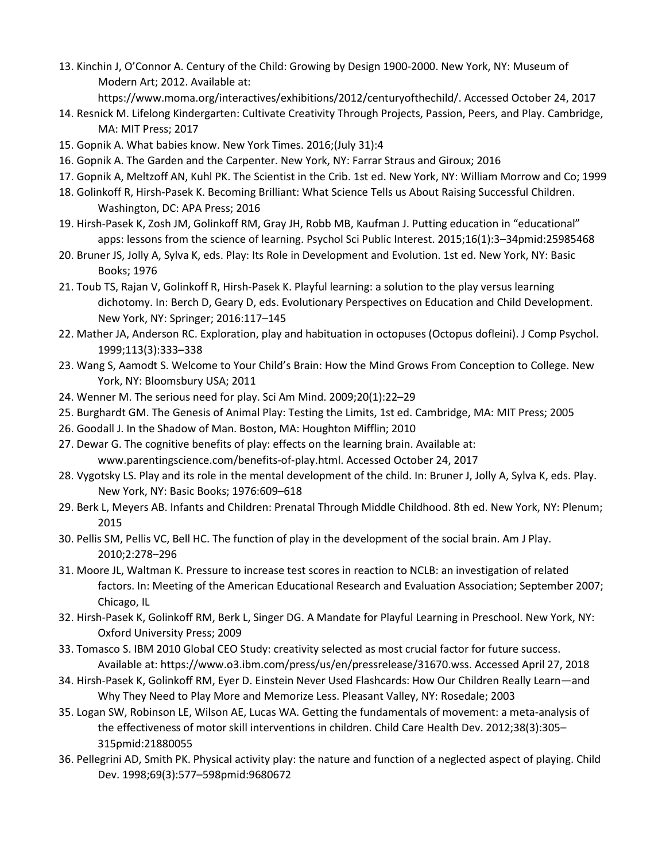- 13. Kinchin J, O'Connor A. Century of the Child: Growing by Design 1900-2000. New York, NY: Museum of Modern Art; 2012. Available at:
	- https://www.moma.org/interactives/exhibitions/2012/centuryofthechild/. Accessed October 24, 2017
- 14. Resnick M. Lifelong Kindergarten: Cultivate Creativity Through Projects, Passion, Peers, and Play. Cambridge, MA: MIT Press; 2017
- 15. Gopnik A. What babies know. New York Times. 2016;(July 31):4
- 16. Gopnik A. The Garden and the Carpenter. New York, NY: Farrar Straus and Giroux; 2016
- 17. Gopnik A, Meltzoff AN, Kuhl PK. The Scientist in the Crib. 1st ed. New York, NY: William Morrow and Co; 1999
- 18. Golinkoff R, Hirsh-Pasek K. Becoming Brilliant: What Science Tells us About Raising Successful Children. Washington, DC: APA Press; 2016
- 19. Hirsh-Pasek K, Zosh JM, Golinkoff RM, Gray JH, Robb MB, Kaufman J. Putting education in "educational" apps: lessons from the science of learning. Psychol Sci Public Interest. 2015;16(1):3–34pmid:25985468
- 20. Bruner JS, Jolly A, Sylva K, eds. Play: Its Role in Development and Evolution. 1st ed. New York, NY: Basic Books; 1976
- 21. Toub TS, Rajan V, Golinkoff R, Hirsh-Pasek K. Playful learning: a solution to the play versus learning dichotomy. In: Berch D, Geary D, eds. Evolutionary Perspectives on Education and Child Development. New York, NY: Springer; 2016:117–145
- 22. Mather JA, Anderson RC. Exploration, play and habituation in octopuses (Octopus dofleini). J Comp Psychol. 1999;113(3):333–338
- 23. Wang S, Aamodt S. Welcome to Your Child's Brain: How the Mind Grows From Conception to College. New York, NY: Bloomsbury USA; 2011
- 24. Wenner M. The serious need for play. Sci Am Mind. 2009;20(1):22–29
- 25. Burghardt GM. The Genesis of Animal Play: Testing the Limits, 1st ed. Cambridge, MA: MIT Press; 2005
- 26. Goodall J. In the Shadow of Man. Boston, MA: Houghton Mifflin; 2010
- 27. Dewar G. The cognitive benefits of play: effects on the learning brain. Available at: www.parentingscience.com/benefits-of-play.html. Accessed October 24, 2017
- 28. Vygotsky LS. Play and its role in the mental development of the child. In: Bruner J, Jolly A, Sylva K, eds. Play. New York, NY: Basic Books; 1976:609–618
- 29. Berk L, Meyers AB. Infants and Children: Prenatal Through Middle Childhood. 8th ed. New York, NY: Plenum; 2015
- 30. Pellis SM, Pellis VC, Bell HC. The function of play in the development of the social brain. Am J Play. 2010;2:278–296
- 31. Moore JL, Waltman K. Pressure to increase test scores in reaction to NCLB: an investigation of related factors. In: Meeting of the American Educational Research and Evaluation Association; September 2007; Chicago, IL
- 32. Hirsh-Pasek K, Golinkoff RM, Berk L, Singer DG. A Mandate for Playful Learning in Preschool. New York, NY: Oxford University Press; 2009
- 33. Tomasco S. IBM 2010 Global CEO Study: creativity selected as most crucial factor for future success. Available at: https://www.o3.ibm.com/press/us/en/pressrelease/31670.wss. Accessed April 27, 2018
- 34. Hirsh-Pasek K, Golinkoff RM, Eyer D. Einstein Never Used Flashcards: How Our Children Really Learn—and Why They Need to Play More and Memorize Less. Pleasant Valley, NY: Rosedale; 2003
- 35. Logan SW, Robinson LE, Wilson AE, Lucas WA. Getting the fundamentals of movement: a meta-analysis of the effectiveness of motor skill interventions in children. Child Care Health Dev. 2012;38(3):305– 315pmid:21880055
- 36. Pellegrini AD, Smith PK. Physical activity play: the nature and function of a neglected aspect of playing. Child Dev. 1998;69(3):577–598pmid:9680672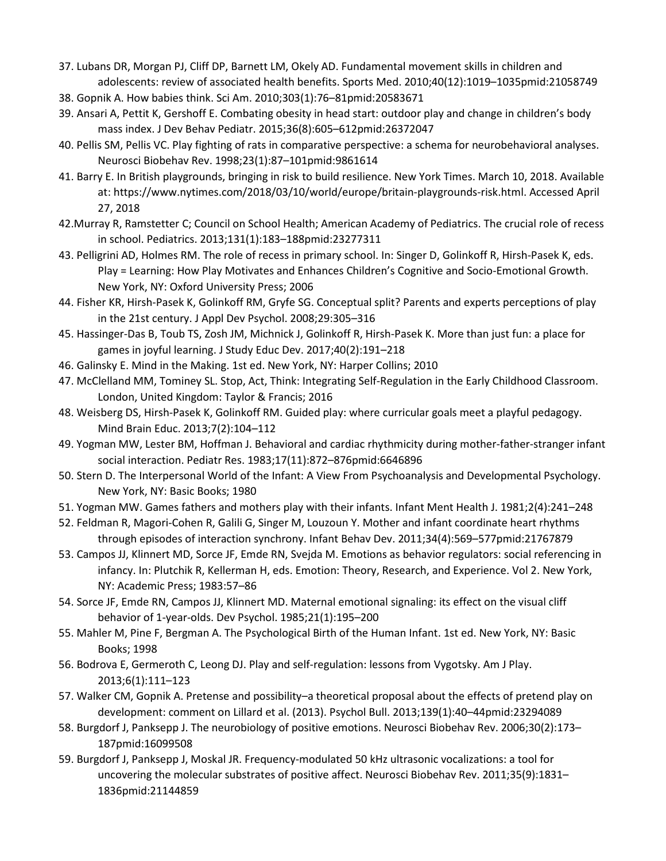- 37. Lubans DR, Morgan PJ, Cliff DP, Barnett LM, Okely AD. Fundamental movement skills in children and adolescents: review of associated health benefits. Sports Med. 2010;40(12):1019–1035pmid:21058749
- 38. Gopnik A. How babies think. Sci Am. 2010;303(1):76–81pmid:20583671
- 39. Ansari A, Pettit K, Gershoff E. Combating obesity in head start: outdoor play and change in children's body mass index. J Dev Behav Pediatr. 2015;36(8):605–612pmid:26372047
- 40. Pellis SM, Pellis VC. Play fighting of rats in comparative perspective: a schema for neurobehavioral analyses. Neurosci Biobehav Rev. 1998;23(1):87–101pmid:9861614
- 41. Barry E. In British playgrounds, bringing in risk to build resilience. New York Times. March 10, 2018. Available at: https://www.nytimes.com/2018/03/10/world/europe/britain-playgrounds-risk.html. Accessed April 27, 2018
- 42.Murray R, Ramstetter C; Council on School Health; American Academy of Pediatrics. The crucial role of recess in school. Pediatrics. 2013;131(1):183–188pmid:23277311
- 43. Pelligrini AD, Holmes RM. The role of recess in primary school. In: Singer D, Golinkoff R, Hirsh-Pasek K, eds. Play = Learning: How Play Motivates and Enhances Children's Cognitive and Socio-Emotional Growth. New York, NY: Oxford University Press; 2006
- 44. Fisher KR, Hirsh-Pasek K, Golinkoff RM, Gryfe SG. Conceptual split? Parents and experts perceptions of play in the 21st century. J Appl Dev Psychol. 2008;29:305–316
- 45. Hassinger-Das B, Toub TS, Zosh JM, Michnick J, Golinkoff R, Hirsh-Pasek K. More than just fun: a place for games in joyful learning. J Study Educ Dev. 2017;40(2):191–218
- 46. Galinsky E. Mind in the Making. 1st ed. New York, NY: Harper Collins; 2010
- 47. McClelland MM, Tominey SL. Stop, Act, Think: Integrating Self-Regulation in the Early Childhood Classroom. London, United Kingdom: Taylor & Francis; 2016
- 48. Weisberg DS, Hirsh-Pasek K, Golinkoff RM. Guided play: where curricular goals meet a playful pedagogy. Mind Brain Educ. 2013;7(2):104–112
- 49. Yogman MW, Lester BM, Hoffman J. Behavioral and cardiac rhythmicity during mother-father-stranger infant social interaction. Pediatr Res. 1983;17(11):872–876pmid:6646896
- 50. Stern D. The Interpersonal World of the Infant: A View From Psychoanalysis and Developmental Psychology. New York, NY: Basic Books; 1980
- 51. Yogman MW. Games fathers and mothers play with their infants. Infant Ment Health J. 1981;2(4):241–248
- 52. Feldman R, Magori-Cohen R, Galili G, Singer M, Louzoun Y. Mother and infant coordinate heart rhythms through episodes of interaction synchrony. Infant Behav Dev. 2011;34(4):569–577pmid:21767879
- 53. Campos JJ, Klinnert MD, Sorce JF, Emde RN, Svejda M. Emotions as behavior regulators: social referencing in infancy. In: Plutchik R, Kellerman H, eds. Emotion: Theory, Research, and Experience. Vol 2. New York, NY: Academic Press; 1983:57–86
- 54. Sorce JF, Emde RN, Campos JJ, Klinnert MD. Maternal emotional signaling: its effect on the visual cliff behavior of 1-year-olds. Dev Psychol. 1985;21(1):195–200
- 55. Mahler M, Pine F, Bergman A. The Psychological Birth of the Human Infant. 1st ed. New York, NY: Basic Books; 1998
- 56. Bodrova E, Germeroth C, Leong DJ. Play and self-regulation: lessons from Vygotsky. Am J Play. 2013;6(1):111–123
- 57. Walker CM, Gopnik A. Pretense and possibility–a theoretical proposal about the effects of pretend play on development: comment on Lillard et al. (2013). Psychol Bull. 2013;139(1):40–44pmid:23294089
- 58. Burgdorf J, Panksepp J. The neurobiology of positive emotions. Neurosci Biobehav Rev. 2006;30(2):173– 187pmid:16099508
- 59. Burgdorf J, Panksepp J, Moskal JR. Frequency-modulated 50 kHz ultrasonic vocalizations: a tool for uncovering the molecular substrates of positive affect. Neurosci Biobehav Rev. 2011;35(9):1831– 1836pmid:21144859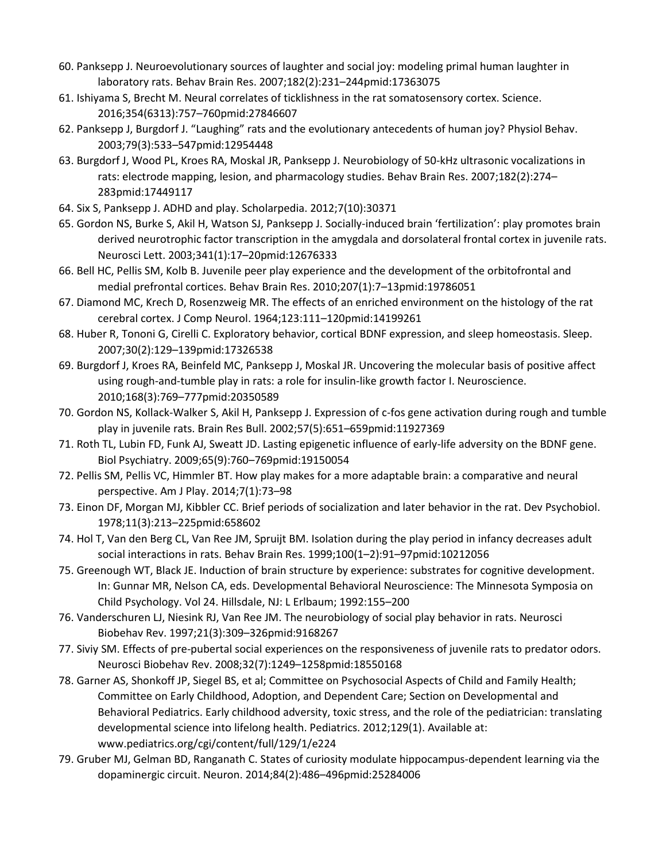- 60. Panksepp J. Neuroevolutionary sources of laughter and social joy: modeling primal human laughter in laboratory rats. Behav Brain Res. 2007;182(2):231–244pmid:17363075
- 61. Ishiyama S, Brecht M. Neural correlates of ticklishness in the rat somatosensory cortex. Science. 2016;354(6313):757–760pmid:27846607
- 62. Panksepp J, Burgdorf J. "Laughing" rats and the evolutionary antecedents of human joy? Physiol Behav. 2003;79(3):533–547pmid:12954448
- 63. Burgdorf J, Wood PL, Kroes RA, Moskal JR, Panksepp J. Neurobiology of 50-kHz ultrasonic vocalizations in rats: electrode mapping, lesion, and pharmacology studies. Behav Brain Res. 2007;182(2):274– 283pmid:17449117
- 64. Six S, Panksepp J. ADHD and play. Scholarpedia. 2012;7(10):30371
- 65. Gordon NS, Burke S, Akil H, Watson SJ, Panksepp J. Socially-induced brain 'fertilization': play promotes brain derived neurotrophic factor transcription in the amygdala and dorsolateral frontal cortex in juvenile rats. Neurosci Lett. 2003;341(1):17–20pmid:12676333
- 66. Bell HC, Pellis SM, Kolb B. Juvenile peer play experience and the development of the orbitofrontal and medial prefrontal cortices. Behav Brain Res. 2010;207(1):7–13pmid:19786051
- 67. Diamond MC, Krech D, Rosenzweig MR. The effects of an enriched environment on the histology of the rat cerebral cortex. J Comp Neurol. 1964;123:111–120pmid:14199261
- 68. Huber R, Tononi G, Cirelli C. Exploratory behavior, cortical BDNF expression, and sleep homeostasis. Sleep. 2007;30(2):129–139pmid:17326538
- 69. Burgdorf J, Kroes RA, Beinfeld MC, Panksepp J, Moskal JR. Uncovering the molecular basis of positive affect using rough-and-tumble play in rats: a role for insulin-like growth factor I. Neuroscience. 2010;168(3):769–777pmid:20350589
- 70. Gordon NS, Kollack-Walker S, Akil H, Panksepp J. Expression of c-fos gene activation during rough and tumble play in juvenile rats. Brain Res Bull. 2002;57(5):651–659pmid:11927369
- 71. Roth TL, Lubin FD, Funk AJ, Sweatt JD. Lasting epigenetic influence of early-life adversity on the BDNF gene. Biol Psychiatry. 2009;65(9):760–769pmid:19150054
- 72. Pellis SM, Pellis VC, Himmler BT. How play makes for a more adaptable brain: a comparative and neural perspective. Am J Play. 2014;7(1):73–98
- 73. Einon DF, Morgan MJ, Kibbler CC. Brief periods of socialization and later behavior in the rat. Dev Psychobiol. 1978;11(3):213–225pmid:658602
- 74. Hol T, Van den Berg CL, Van Ree JM, Spruijt BM. Isolation during the play period in infancy decreases adult social interactions in rats. Behav Brain Res. 1999;100(1–2):91–97pmid:10212056
- 75. Greenough WT, Black JE. Induction of brain structure by experience: substrates for cognitive development. In: Gunnar MR, Nelson CA, eds. Developmental Behavioral Neuroscience: The Minnesota Symposia on Child Psychology. Vol 24. Hillsdale, NJ: L Erlbaum; 1992:155–200
- 76. Vanderschuren LJ, Niesink RJ, Van Ree JM. The neurobiology of social play behavior in rats. Neurosci Biobehav Rev. 1997;21(3):309–326pmid:9168267
- 77. Siviy SM. Effects of pre-pubertal social experiences on the responsiveness of juvenile rats to predator odors. Neurosci Biobehav Rev. 2008;32(7):1249–1258pmid:18550168
- 78. Garner AS, Shonkoff JP, Siegel BS, et al; Committee on Psychosocial Aspects of Child and Family Health; Committee on Early Childhood, Adoption, and Dependent Care; Section on Developmental and Behavioral Pediatrics. Early childhood adversity, toxic stress, and the role of the pediatrician: translating developmental science into lifelong health. Pediatrics. 2012;129(1). Available at: www.pediatrics.org/cgi/content/full/129/1/e224
- 79. Gruber MJ, Gelman BD, Ranganath C. States of curiosity modulate hippocampus-dependent learning via the dopaminergic circuit. Neuron. 2014;84(2):486–496pmid:25284006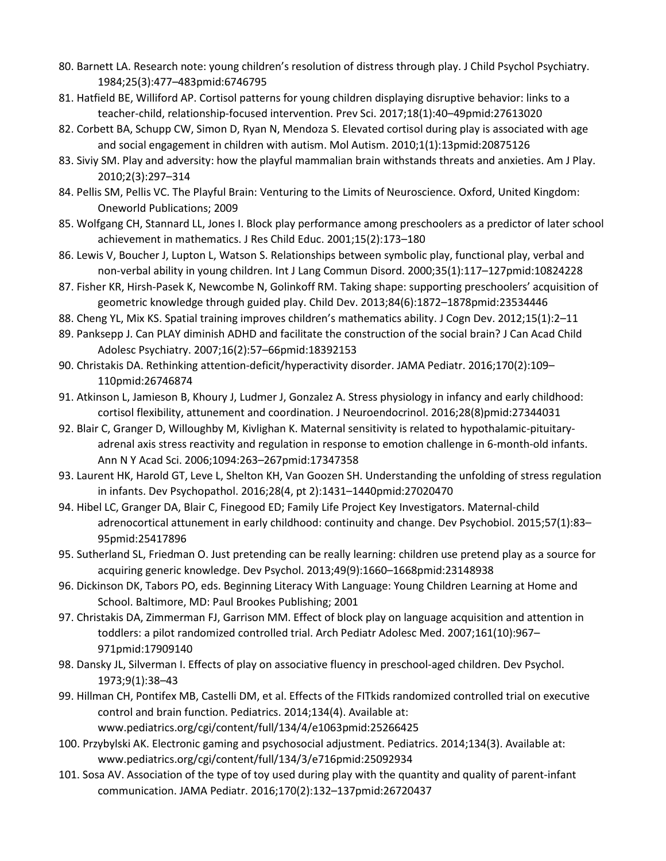- 80. Barnett LA. Research note: young children's resolution of distress through play. J Child Psychol Psychiatry. 1984;25(3):477–483pmid:6746795
- 81. Hatfield BE, Williford AP. Cortisol patterns for young children displaying disruptive behavior: links to a teacher-child, relationship-focused intervention. Prev Sci. 2017;18(1):40–49pmid:27613020
- 82. Corbett BA, Schupp CW, Simon D, Ryan N, Mendoza S. Elevated cortisol during play is associated with age and social engagement in children with autism. Mol Autism. 2010;1(1):13pmid:20875126
- 83. Siviy SM. Play and adversity: how the playful mammalian brain withstands threats and anxieties. Am J Play. 2010;2(3):297–314
- 84. Pellis SM, Pellis VC. The Playful Brain: Venturing to the Limits of Neuroscience. Oxford, United Kingdom: Oneworld Publications; 2009
- 85. Wolfgang CH, Stannard LL, Jones I. Block play performance among preschoolers as a predictor of later school achievement in mathematics. J Res Child Educ. 2001;15(2):173–180
- 86. Lewis V, Boucher J, Lupton L, Watson S. Relationships between symbolic play, functional play, verbal and non-verbal ability in young children. Int J Lang Commun Disord. 2000;35(1):117–127pmid:10824228
- 87. Fisher KR, Hirsh-Pasek K, Newcombe N, Golinkoff RM. Taking shape: supporting preschoolers' acquisition of geometric knowledge through guided play. Child Dev. 2013;84(6):1872–1878pmid:23534446
- 88. Cheng YL, Mix KS. Spatial training improves children's mathematics ability. J Cogn Dev. 2012;15(1):2–11
- 89. Panksepp J. Can PLAY diminish ADHD and facilitate the construction of the social brain? J Can Acad Child Adolesc Psychiatry. 2007;16(2):57–66pmid:18392153
- 90. Christakis DA. Rethinking attention-deficit/hyperactivity disorder. JAMA Pediatr. 2016;170(2):109– 110pmid:26746874
- 91. Atkinson L, Jamieson B, Khoury J, Ludmer J, Gonzalez A. Stress physiology in infancy and early childhood: cortisol flexibility, attunement and coordination. J Neuroendocrinol. 2016;28(8)pmid:27344031
- 92. Blair C, Granger D, Willoughby M, Kivlighan K. Maternal sensitivity is related to hypothalamic-pituitaryadrenal axis stress reactivity and regulation in response to emotion challenge in 6-month-old infants. Ann N Y Acad Sci. 2006;1094:263–267pmid:17347358
- 93. Laurent HK, Harold GT, Leve L, Shelton KH, Van Goozen SH. Understanding the unfolding of stress regulation in infants. Dev Psychopathol. 2016;28(4, pt 2):1431–1440pmid:27020470
- 94. Hibel LC, Granger DA, Blair C, Finegood ED; Family Life Project Key Investigators. Maternal-child adrenocortical attunement in early childhood: continuity and change. Dev Psychobiol. 2015;57(1):83– 95pmid:25417896
- 95. Sutherland SL, Friedman O. Just pretending can be really learning: children use pretend play as a source for acquiring generic knowledge. Dev Psychol. 2013;49(9):1660–1668pmid:23148938
- 96. Dickinson DK, Tabors PO, eds. Beginning Literacy With Language: Young Children Learning at Home and School. Baltimore, MD: Paul Brookes Publishing; 2001
- 97. Christakis DA, Zimmerman FJ, Garrison MM. Effect of block play on language acquisition and attention in toddlers: a pilot randomized controlled trial. Arch Pediatr Adolesc Med. 2007;161(10):967– 971pmid:17909140
- 98. Dansky JL, Silverman I. Effects of play on associative fluency in preschool-aged children. Dev Psychol. 1973;9(1):38–43
- 99. Hillman CH, Pontifex MB, Castelli DM, et al. Effects of the FITkids randomized controlled trial on executive control and brain function. Pediatrics. 2014;134(4). Available at: www.pediatrics.org/cgi/content/full/134/4/e1063pmid:25266425
- 100. Przybylski AK. Electronic gaming and psychosocial adjustment. Pediatrics. 2014;134(3). Available at: www.pediatrics.org/cgi/content/full/134/3/e716pmid:25092934
- 101. Sosa AV. Association of the type of toy used during play with the quantity and quality of parent-infant communication. JAMA Pediatr. 2016;170(2):132–137pmid:26720437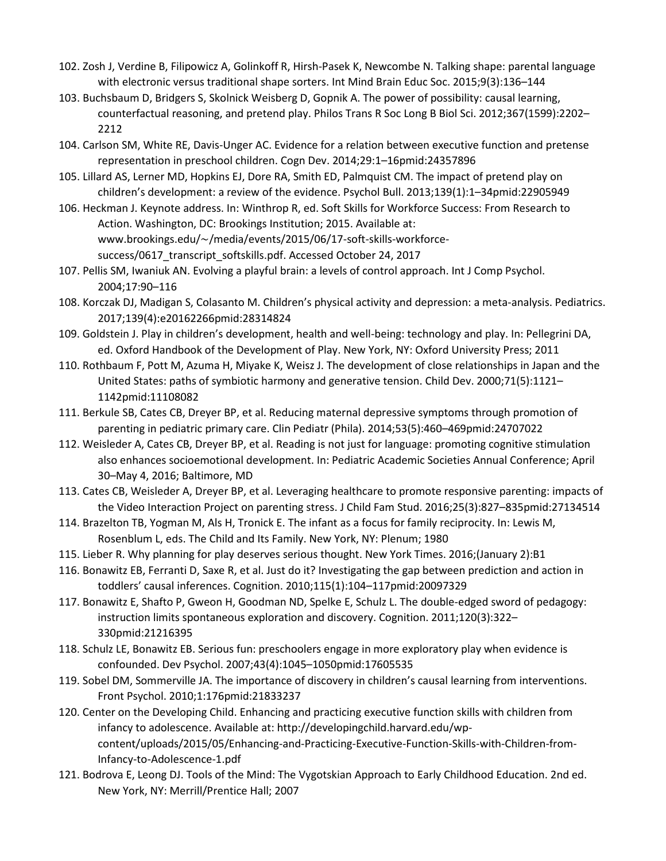- 102. Zosh J, Verdine B, Filipowicz A, Golinkoff R, Hirsh-Pasek K, Newcombe N. Talking shape: parental language with electronic versus traditional shape sorters. Int Mind Brain Educ Soc. 2015;9(3):136–144
- 103. Buchsbaum D, Bridgers S, Skolnick Weisberg D, Gopnik A. The power of possibility: causal learning, counterfactual reasoning, and pretend play. Philos Trans R Soc Long B Biol Sci. 2012;367(1599):2202– 2212
- 104. Carlson SM, White RE, Davis-Unger AC. Evidence for a relation between executive function and pretense representation in preschool children. Cogn Dev. 2014;29:1–16pmid:24357896
- 105. Lillard AS, Lerner MD, Hopkins EJ, Dore RA, Smith ED, Palmquist CM. The impact of pretend play on children's development: a review of the evidence. Psychol Bull. 2013;139(1):1–34pmid:22905949
- 106. Heckman J. Keynote address. In: Winthrop R, ed. Soft Skills for Workforce Success: From Research to Action. Washington, DC: Brookings Institution; 2015. Available at: www.brookings.edu/∼/media/events/2015/06/17-soft-skills-workforcesuccess/0617\_transcript\_softskills.pdf. Accessed October 24, 2017
- 107. Pellis SM, Iwaniuk AN. Evolving a playful brain: a levels of control approach. Int J Comp Psychol. 2004;17:90–116
- 108. Korczak DJ, Madigan S, Colasanto M. Children's physical activity and depression: a meta-analysis. Pediatrics. 2017;139(4):e20162266pmid:28314824
- 109. Goldstein J. Play in children's development, health and well-being: technology and play. In: Pellegrini DA, ed. Oxford Handbook of the Development of Play. New York, NY: Oxford University Press; 2011
- 110. Rothbaum F, Pott M, Azuma H, Miyake K, Weisz J. The development of close relationships in Japan and the United States: paths of symbiotic harmony and generative tension. Child Dev. 2000;71(5):1121– 1142pmid:11108082
- 111. Berkule SB, Cates CB, Dreyer BP, et al. Reducing maternal depressive symptoms through promotion of parenting in pediatric primary care. Clin Pediatr (Phila). 2014;53(5):460–469pmid:24707022
- 112. Weisleder A, Cates CB, Dreyer BP, et al. Reading is not just for language: promoting cognitive stimulation also enhances socioemotional development. In: Pediatric Academic Societies Annual Conference; April 30–May 4, 2016; Baltimore, MD
- 113. Cates CB, Weisleder A, Dreyer BP, et al. Leveraging healthcare to promote responsive parenting: impacts of the Video Interaction Project on parenting stress. J Child Fam Stud. 2016;25(3):827–835pmid:27134514
- 114. Brazelton TB, Yogman M, Als H, Tronick E. The infant as a focus for family reciprocity. In: Lewis M, Rosenblum L, eds. The Child and Its Family. New York, NY: Plenum; 1980
- 115. Lieber R. Why planning for play deserves serious thought. New York Times. 2016;(January 2):B1
- 116. Bonawitz EB, Ferranti D, Saxe R, et al. Just do it? Investigating the gap between prediction and action in toddlers' causal inferences. Cognition. 2010;115(1):104–117pmid:20097329
- 117. Bonawitz E, Shafto P, Gweon H, Goodman ND, Spelke E, Schulz L. The double-edged sword of pedagogy: instruction limits spontaneous exploration and discovery. Cognition. 2011;120(3):322– 330pmid:21216395
- 118. Schulz LE, Bonawitz EB. Serious fun: preschoolers engage in more exploratory play when evidence is confounded. Dev Psychol. 2007;43(4):1045–1050pmid:17605535
- 119. Sobel DM, Sommerville JA. The importance of discovery in children's causal learning from interventions. Front Psychol. 2010;1:176pmid:21833237
- 120. Center on the Developing Child. Enhancing and practicing executive function skills with children from infancy to adolescence. Available at: http://developingchild.harvard.edu/wpcontent/uploads/2015/05/Enhancing-and-Practicing-Executive-Function-Skills-with-Children-from-Infancy-to-Adolescence-1.pdf
- 121. Bodrova E, Leong DJ. Tools of the Mind: The Vygotskian Approach to Early Childhood Education. 2nd ed. New York, NY: Merrill/Prentice Hall; 2007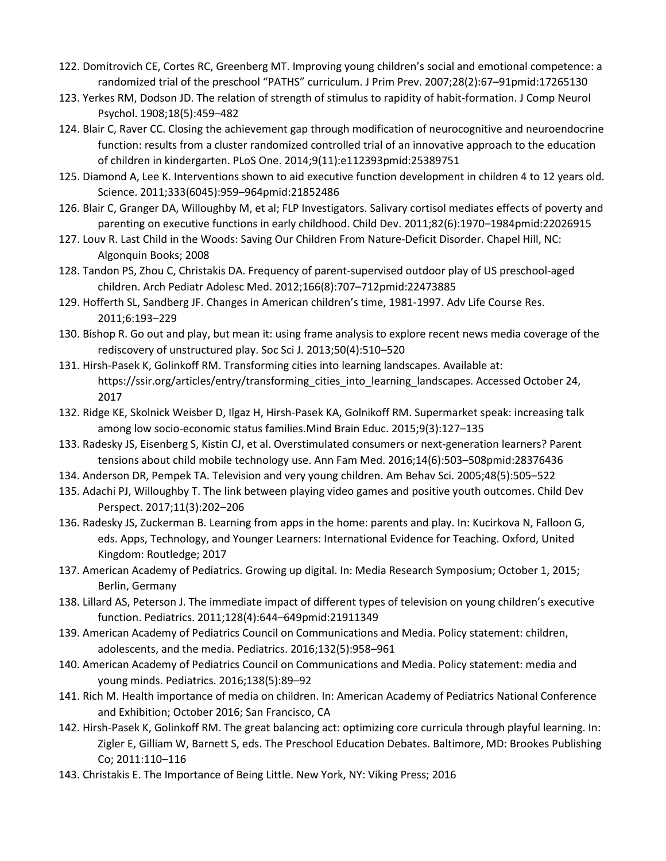- 122. Domitrovich CE, Cortes RC, Greenberg MT. Improving young children's social and emotional competence: a randomized trial of the preschool "PATHS" curriculum. J Prim Prev. 2007;28(2):67–91pmid:17265130
- 123. Yerkes RM, Dodson JD. The relation of strength of stimulus to rapidity of habit-formation. J Comp Neurol Psychol. 1908;18(5):459–482
- 124. Blair C, Raver CC. Closing the achievement gap through modification of neurocognitive and neuroendocrine function: results from a cluster randomized controlled trial of an innovative approach to the education of children in kindergarten. PLoS One. 2014;9(11):e112393pmid:25389751
- 125. Diamond A, Lee K. Interventions shown to aid executive function development in children 4 to 12 years old. Science. 2011;333(6045):959–964pmid:21852486
- 126. Blair C, Granger DA, Willoughby M, et al; FLP Investigators. Salivary cortisol mediates effects of poverty and parenting on executive functions in early childhood. Child Dev. 2011;82(6):1970–1984pmid:22026915
- 127. Louv R. Last Child in the Woods: Saving Our Children From Nature-Deficit Disorder. Chapel Hill, NC: Algonquin Books; 2008
- 128. Tandon PS, Zhou C, Christakis DA. Frequency of parent-supervised outdoor play of US preschool-aged children. Arch Pediatr Adolesc Med. 2012;166(8):707–712pmid:22473885
- 129. Hofferth SL, Sandberg JF. Changes in American children's time, 1981-1997. Adv Life Course Res. 2011;6:193–229
- 130. Bishop R. Go out and play, but mean it: using frame analysis to explore recent news media coverage of the rediscovery of unstructured play. Soc Sci J. 2013;50(4):510–520
- 131. Hirsh-Pasek K, Golinkoff RM. Transforming cities into learning landscapes. Available at: https://ssir.org/articles/entry/transforming\_cities\_into\_learning\_landscapes. Accessed October 24, 2017
- 132. Ridge KE, Skolnick Weisber D, Ilgaz H, Hirsh-Pasek KA, Golnikoff RM. Supermarket speak: increasing talk among low socio-economic status families.Mind Brain Educ. 2015;9(3):127–135
- 133. Radesky JS, Eisenberg S, Kistin CJ, et al. Overstimulated consumers or next-generation learners? Parent tensions about child mobile technology use. Ann Fam Med. 2016;14(6):503–508pmid:28376436
- 134. Anderson DR, Pempek TA. Television and very young children. Am Behav Sci. 2005;48(5):505–522
- 135. Adachi PJ, Willoughby T. The link between playing video games and positive youth outcomes. Child Dev Perspect. 2017;11(3):202–206
- 136. Radesky JS, Zuckerman B. Learning from apps in the home: parents and play. In: Kucirkova N, Falloon G, eds. Apps, Technology, and Younger Learners: International Evidence for Teaching. Oxford, United Kingdom: Routledge; 2017
- 137. American Academy of Pediatrics. Growing up digital. In: Media Research Symposium; October 1, 2015; Berlin, Germany
- 138. Lillard AS, Peterson J. The immediate impact of different types of television on young children's executive function. Pediatrics. 2011;128(4):644–649pmid:21911349
- 139. American Academy of Pediatrics Council on Communications and Media. Policy statement: children, adolescents, and the media. Pediatrics. 2016;132(5):958–961
- 140. American Academy of Pediatrics Council on Communications and Media. Policy statement: media and young minds. Pediatrics. 2016;138(5):89–92
- 141. Rich M. Health importance of media on children. In: American Academy of Pediatrics National Conference and Exhibition; October 2016; San Francisco, CA
- 142. Hirsh-Pasek K, Golinkoff RM. The great balancing act: optimizing core curricula through playful learning. In: Zigler E, Gilliam W, Barnett S, eds. The Preschool Education Debates. Baltimore, MD: Brookes Publishing Co; 2011:110–116
- 143. Christakis E. The Importance of Being Little. New York, NY: Viking Press; 2016